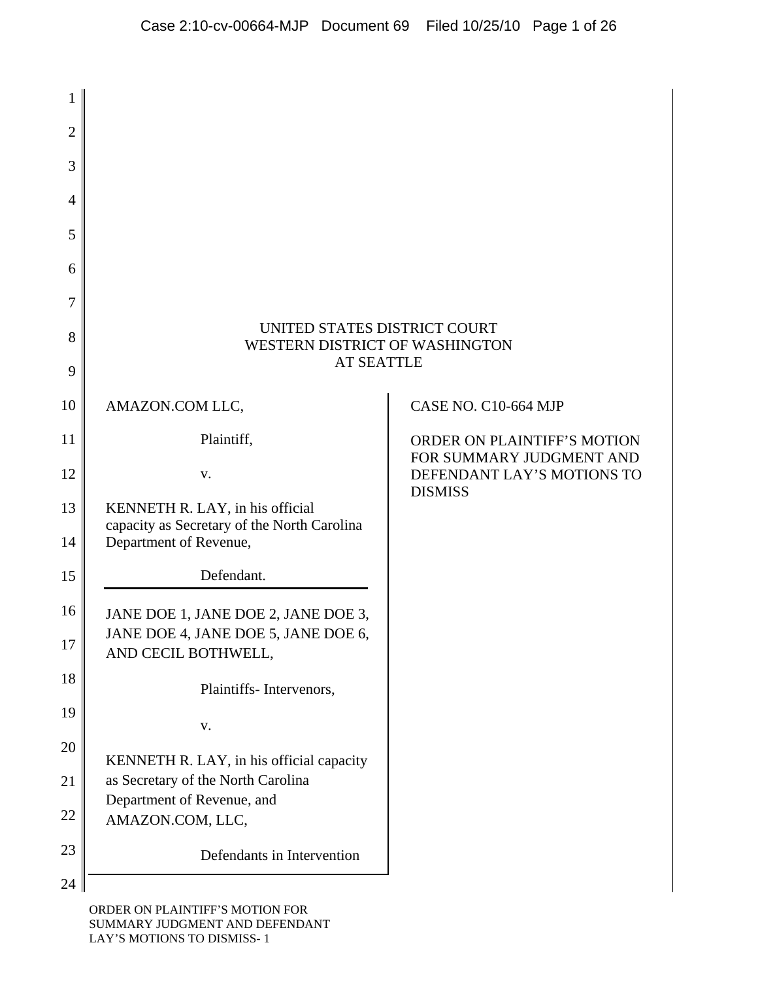| 1              |                                                                                                          |                                                                |
|----------------|----------------------------------------------------------------------------------------------------------|----------------------------------------------------------------|
| $\overline{2}$ |                                                                                                          |                                                                |
| 3              |                                                                                                          |                                                                |
| 4              |                                                                                                          |                                                                |
| 5              |                                                                                                          |                                                                |
| 6              |                                                                                                          |                                                                |
| 7              |                                                                                                          |                                                                |
| 8              | UNITED STATES DISTRICT COURT<br>WESTERN DISTRICT OF WASHINGTON                                           |                                                                |
| 9              | <b>AT SEATTLE</b>                                                                                        |                                                                |
| 10             | AMAZON.COM LLC,                                                                                          | <b>CASE NO. C10-664 MJP</b>                                    |
| 11             | Plaintiff,                                                                                               | <b>ORDER ON PLAINTIFF'S MOTION</b><br>FOR SUMMARY JUDGMENT AND |
| 12             | V.                                                                                                       | DEFENDANT LAY'S MOTIONS TO<br><b>DISMISS</b>                   |
| 13<br>14       | KENNETH R. LAY, in his official<br>capacity as Secretary of the North Carolina<br>Department of Revenue, |                                                                |
| 15             | Defendant.                                                                                               |                                                                |
| 16             | JANE DOE 1, JANE DOE 2, JANE DOE 3,                                                                      |                                                                |
| 17             | JANE DOE 4, JANE DOE 5, JANE DOE 6,<br>AND CECIL BOTHWELL,                                               |                                                                |
| 18             | Plaintiffs-Intervenors,                                                                                  |                                                                |
| 19             | ${\bf V}$ .                                                                                              |                                                                |
| 20             | KENNETH R. LAY, in his official capacity                                                                 |                                                                |
| 21             | as Secretary of the North Carolina<br>Department of Revenue, and                                         |                                                                |
| 22             | AMAZON.COM, LLC,                                                                                         |                                                                |
| 23             | Defendants in Intervention                                                                               |                                                                |
| 24             |                                                                                                          |                                                                |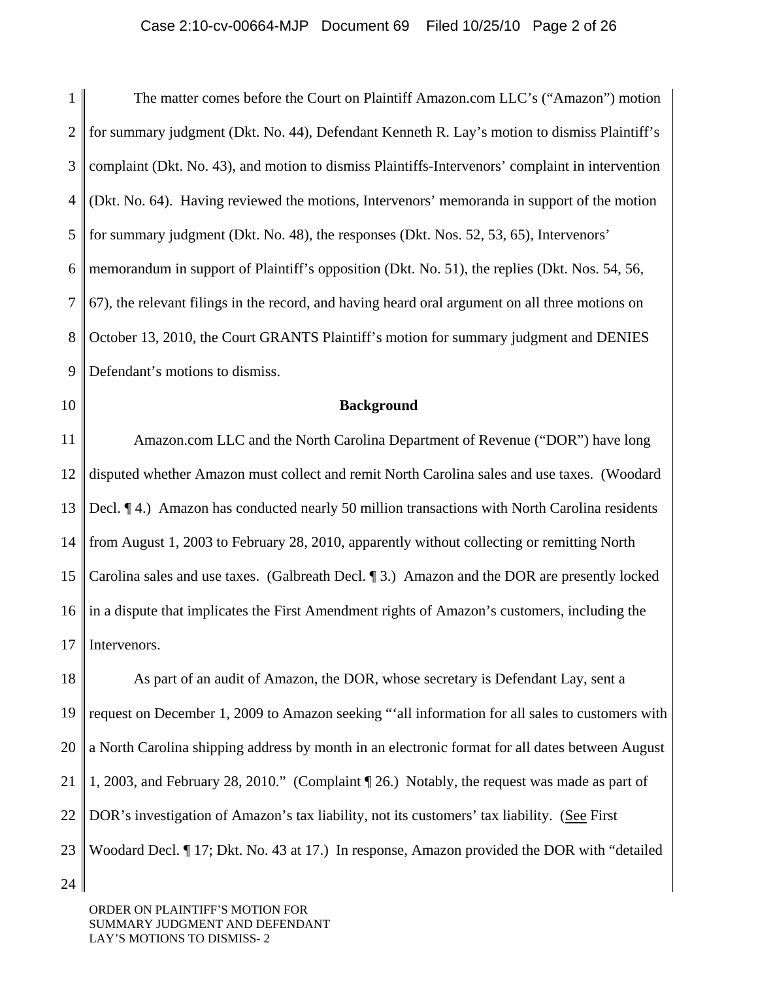1 2 3 4 5 6 7 8 9 The matter comes before the Court on Plaintiff Amazon.com LLC's ("Amazon") motion for summary judgment (Dkt. No. 44), Defendant Kenneth R. Lay's motion to dismiss Plaintiff's complaint (Dkt. No. 43), and motion to dismiss Plaintiffs-Intervenors' complaint in intervention (Dkt. No. 64). Having reviewed the motions, Intervenors' memoranda in support of the motion for summary judgment (Dkt. No. 48), the responses (Dkt. Nos. 52, 53, 65), Intervenors' memorandum in support of Plaintiff's opposition (Dkt. No. 51), the replies (Dkt. Nos. 54, 56, 67), the relevant filings in the record, and having heard oral argument on all three motions on October 13, 2010, the Court GRANTS Plaintiff's motion for summary judgment and DENIES Defendant's motions to dismiss.

10

### **Background**

11 12 13 14 15 16 17 Amazon.com LLC and the North Carolina Department of Revenue ("DOR") have long disputed whether Amazon must collect and remit North Carolina sales and use taxes. (Woodard Decl. ¶ 4.) Amazon has conducted nearly 50 million transactions with North Carolina residents from August 1, 2003 to February 28, 2010, apparently without collecting or remitting North Carolina sales and use taxes. (Galbreath Decl. ¶ 3.) Amazon and the DOR are presently locked in a dispute that implicates the First Amendment rights of Amazon's customers, including the Intervenors.

18 19 20 21 22 23 24 As part of an audit of Amazon, the DOR, whose secretary is Defendant Lay, sent a request on December 1, 2009 to Amazon seeking "'all information for all sales to customers with a North Carolina shipping address by month in an electronic format for all dates between August 1, 2003, and February 28, 2010." (Complaint ¶ 26.) Notably, the request was made as part of DOR's investigation of Amazon's tax liability, not its customers' tax liability. (See First Woodard Decl. ¶ 17; Dkt. No. 43 at 17.) In response, Amazon provided the DOR with "detailed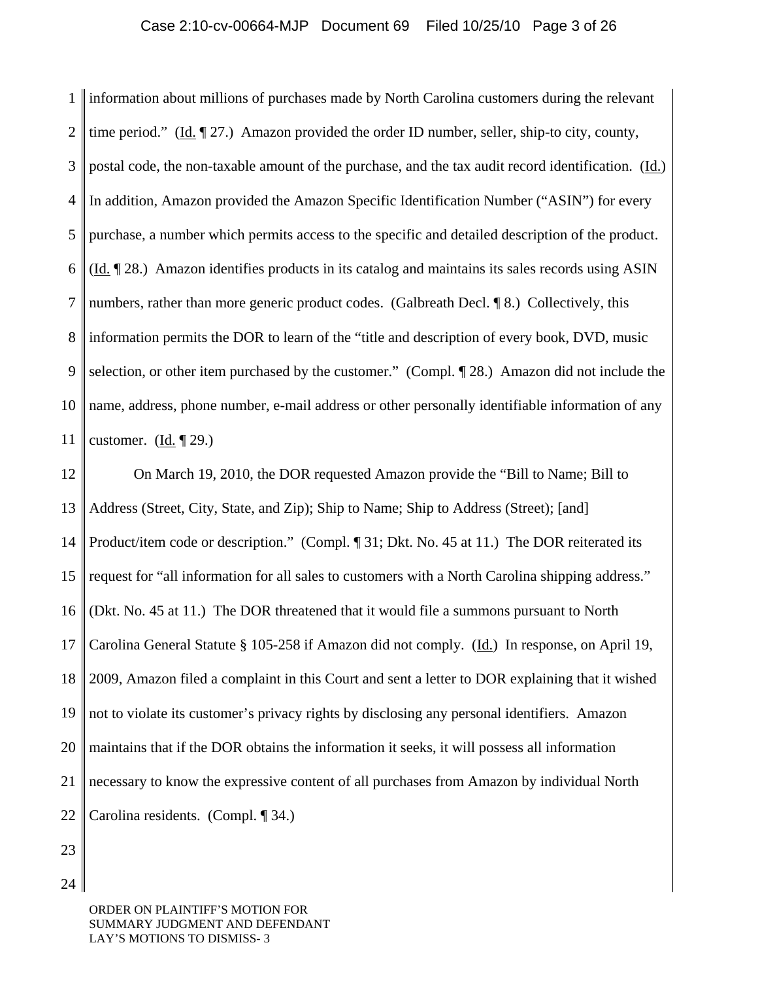1  $\mathcal{D}_{\mathcal{L}}$ 3 4 5 6 7 8 9 10 11 information about millions of purchases made by North Carolina customers during the relevant time period." (Id. ¶ 27.) Amazon provided the order ID number, seller, ship-to city, county, postal code, the non-taxable amount of the purchase, and the tax audit record identification. (Id.) In addition, Amazon provided the Amazon Specific Identification Number ("ASIN") for every purchase, a number which permits access to the specific and detailed description of the product. (Id. ¶ 28.) Amazon identifies products in its catalog and maintains its sales records using ASIN numbers, rather than more generic product codes. (Galbreath Decl. ¶ 8.) Collectively, this information permits the DOR to learn of the "title and description of every book, DVD, music selection, or other item purchased by the customer." (Compl. ¶ 28.) Amazon did not include the name, address, phone number, e-mail address or other personally identifiable information of any customer. (Id.  $\P$  29.)

12 13 14 15 16 17 18 19 20 21 22 On March 19, 2010, the DOR requested Amazon provide the "Bill to Name; Bill to Address (Street, City, State, and Zip); Ship to Name; Ship to Address (Street); [and] Product/item code or description." (Compl. ¶ 31; Dkt. No. 45 at 11.) The DOR reiterated its request for "all information for all sales to customers with a North Carolina shipping address." (Dkt. No. 45 at 11.) The DOR threatened that it would file a summons pursuant to North Carolina General Statute § 105-258 if Amazon did not comply. (Id.) In response, on April 19, 2009, Amazon filed a complaint in this Court and sent a letter to DOR explaining that it wished not to violate its customer's privacy rights by disclosing any personal identifiers. Amazon maintains that if the DOR obtains the information it seeks, it will possess all information necessary to know the expressive content of all purchases from Amazon by individual North Carolina residents. (Compl. ¶ 34.)

23

24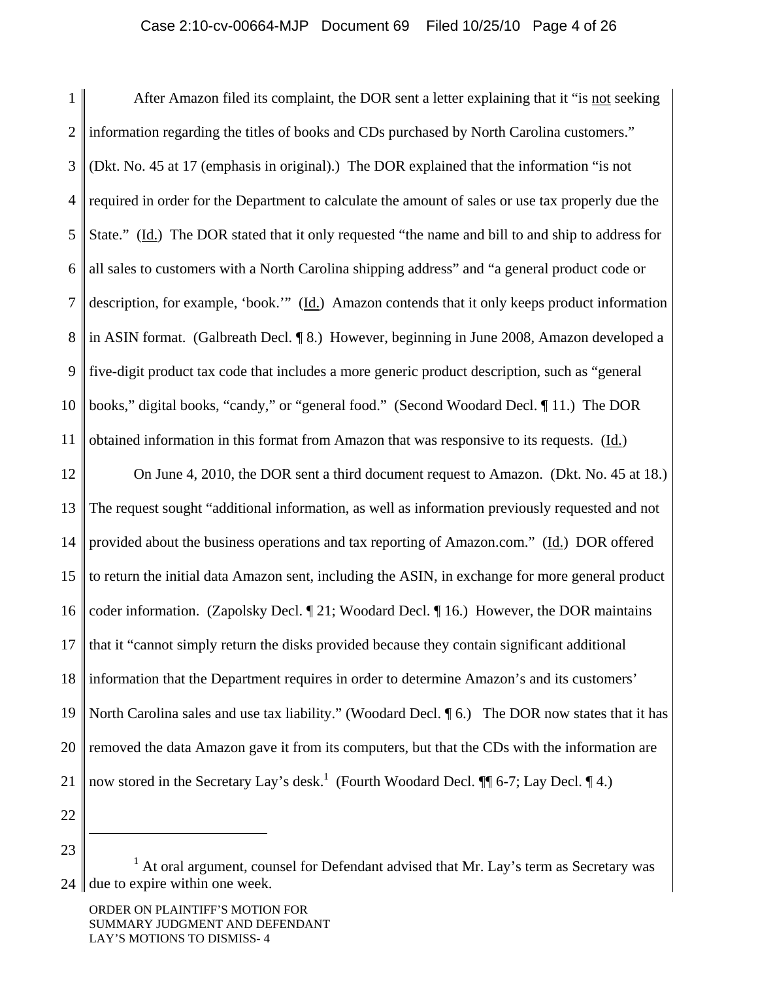1 2 3 4 5 6 7 8 9 10 11 12 13 14 15 16 17 18 19 20 21 After Amazon filed its complaint, the DOR sent a letter explaining that it "is not seeking information regarding the titles of books and CDs purchased by North Carolina customers." (Dkt. No. 45 at 17 (emphasis in original).) The DOR explained that the information "is not required in order for the Department to calculate the amount of sales or use tax properly due the State." (Id.) The DOR stated that it only requested "the name and bill to and ship to address for all sales to customers with a North Carolina shipping address" and "a general product code or description, for example, 'book.'" (Id.) Amazon contends that it only keeps product information in ASIN format. (Galbreath Decl. ¶ 8.) However, beginning in June 2008, Amazon developed a five-digit product tax code that includes a more generic product description, such as "general books," digital books, "candy," or "general food." (Second Woodard Decl. ¶ 11.) The DOR obtained information in this format from Amazon that was responsive to its requests. (Id.) On June 4, 2010, the DOR sent a third document request to Amazon. (Dkt. No. 45 at 18.) The request sought "additional information, as well as information previously requested and not provided about the business operations and tax reporting of Amazon.com." (Id.) DOR offered to return the initial data Amazon sent, including the ASIN, in exchange for more general product coder information. (Zapolsky Decl. ¶ 21; Woodard Decl. ¶ 16.) However, the DOR maintains that it "cannot simply return the disks provided because they contain significant additional information that the Department requires in order to determine Amazon's and its customers' North Carolina sales and use tax liability." (Woodard Decl.  $\P$  6.) The DOR now states that it has removed the data Amazon gave it from its computers, but that the CDs with the information are now stored in the Secretary Lay's desk.<sup>1</sup> (Fourth Woodard Decl.  $\P$  6-7; Lay Decl.  $\P$  4.)

22

 $\overline{a}$ 

 $24 \parallel$  $<sup>1</sup>$  At oral argument, counsel for Defendant advised that Mr. Lay's term as Secretary was</sup> due to expire within one week.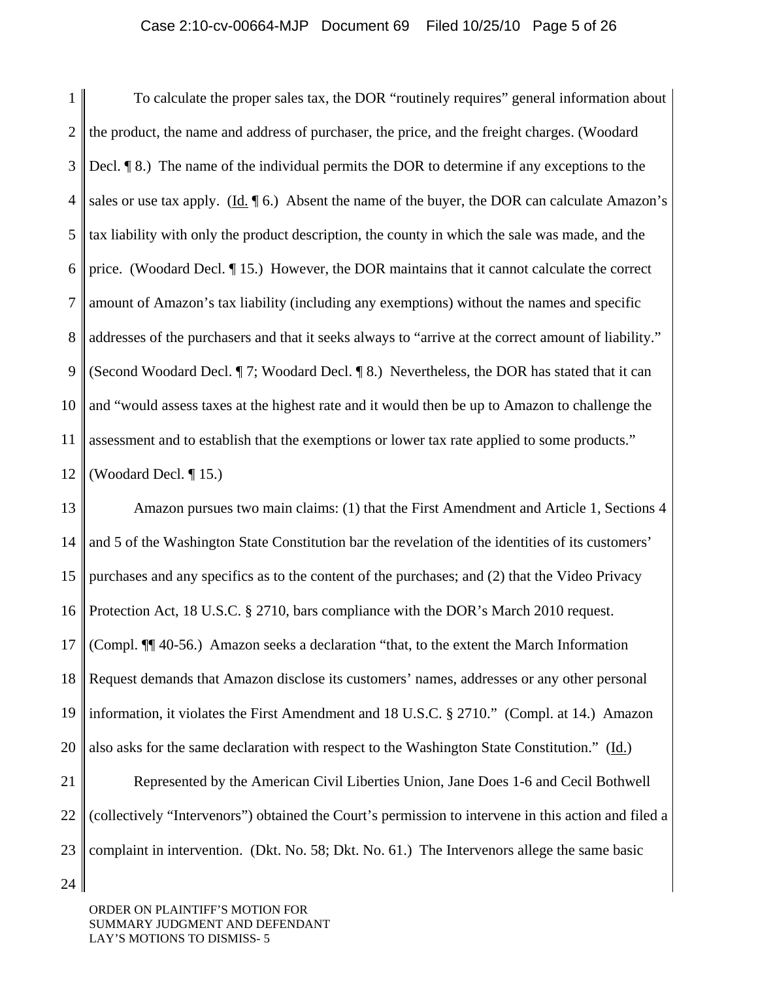1  $\mathcal{D}_{\mathcal{L}}$ 3 4 5 6 7 8 9 10 11 12 To calculate the proper sales tax, the DOR "routinely requires" general information about the product, the name and address of purchaser, the price, and the freight charges. (Woodard Decl. ¶ 8.) The name of the individual permits the DOR to determine if any exceptions to the sales or use tax apply. (Id.  $\P$  6.) Absent the name of the buyer, the DOR can calculate Amazon's tax liability with only the product description, the county in which the sale was made, and the price. (Woodard Decl. ¶ 15.) However, the DOR maintains that it cannot calculate the correct amount of Amazon's tax liability (including any exemptions) without the names and specific addresses of the purchasers and that it seeks always to "arrive at the correct amount of liability." (Second Woodard Decl. ¶ 7; Woodard Decl. ¶ 8.) Nevertheless, the DOR has stated that it can and "would assess taxes at the highest rate and it would then be up to Amazon to challenge the assessment and to establish that the exemptions or lower tax rate applied to some products." (Woodard Decl. ¶ 15.)

13 14 15 16 17 18 19 20 21 22 23 Amazon pursues two main claims: (1) that the First Amendment and Article 1, Sections 4 and 5 of the Washington State Constitution bar the revelation of the identities of its customers' purchases and any specifics as to the content of the purchases; and (2) that the Video Privacy Protection Act, 18 U.S.C. § 2710, bars compliance with the DOR's March 2010 request. (Compl. ¶¶ 40-56.) Amazon seeks a declaration "that, to the extent the March Information Request demands that Amazon disclose its customers' names, addresses or any other personal information, it violates the First Amendment and 18 U.S.C. § 2710." (Compl. at 14.) Amazon also asks for the same declaration with respect to the Washington State Constitution." (Id.) Represented by the American Civil Liberties Union, Jane Does 1-6 and Cecil Bothwell (collectively "Intervenors") obtained the Court's permission to intervene in this action and filed a complaint in intervention. (Dkt. No. 58; Dkt. No. 61.) The Intervenors allege the same basic

ORDER ON PLAINTIFF'S MOTION FOR SUMMARY JUDGMENT AND DEFENDANT LAY'S MOTIONS TO DISMISS- 5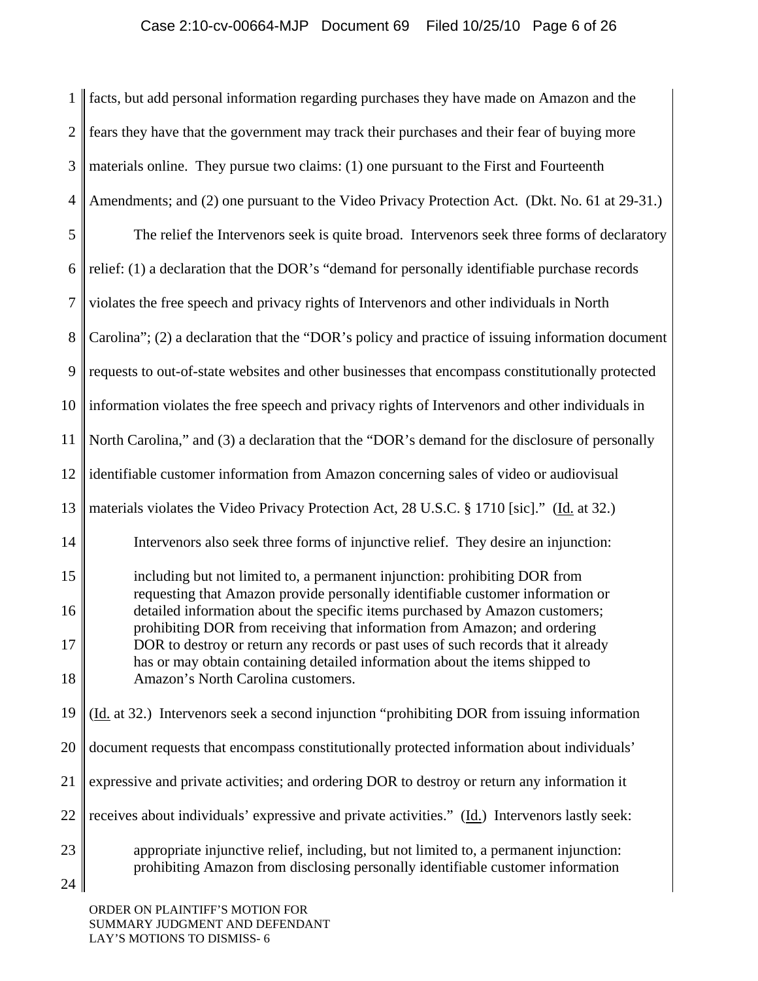# Case 2:10-cv-00664-MJP Document 69 Filed 10/25/10 Page 6 of 26

1  $\mathcal{D}_{\mathcal{L}}$ 3 4 5 6 7 8 9 10 11 12 13 14 15 16 17 18 19 20 21 22 23 24 facts, but add personal information regarding purchases they have made on Amazon and the fears they have that the government may track their purchases and their fear of buying more materials online. They pursue two claims: (1) one pursuant to the First and Fourteenth Amendments; and (2) one pursuant to the Video Privacy Protection Act. (Dkt. No. 61 at 29-31.) The relief the Intervenors seek is quite broad. Intervenors seek three forms of declaratory relief: (1) a declaration that the DOR's "demand for personally identifiable purchase records violates the free speech and privacy rights of Intervenors and other individuals in North Carolina"; (2) a declaration that the "DOR's policy and practice of issuing information document requests to out-of-state websites and other businesses that encompass constitutionally protected information violates the free speech and privacy rights of Intervenors and other individuals in North Carolina," and (3) a declaration that the "DOR's demand for the disclosure of personally identifiable customer information from Amazon concerning sales of video or audiovisual materials violates the Video Privacy Protection Act, 28 U.S.C. § 1710 [sic]." (Id. at 32.) Intervenors also seek three forms of injunctive relief. They desire an injunction: including but not limited to, a permanent injunction: prohibiting DOR from requesting that Amazon provide personally identifiable customer information or detailed information about the specific items purchased by Amazon customers; prohibiting DOR from receiving that information from Amazon; and ordering DOR to destroy or return any records or past uses of such records that it already has or may obtain containing detailed information about the items shipped to Amazon's North Carolina customers. (Id. at 32.) Intervenors seek a second injunction "prohibiting DOR from issuing information document requests that encompass constitutionally protected information about individuals' expressive and private activities; and ordering DOR to destroy or return any information it receives about individuals' expressive and private activities." (Id.) Intervenors lastly seek: appropriate injunctive relief, including, but not limited to, a permanent injunction: prohibiting Amazon from disclosing personally identifiable customer information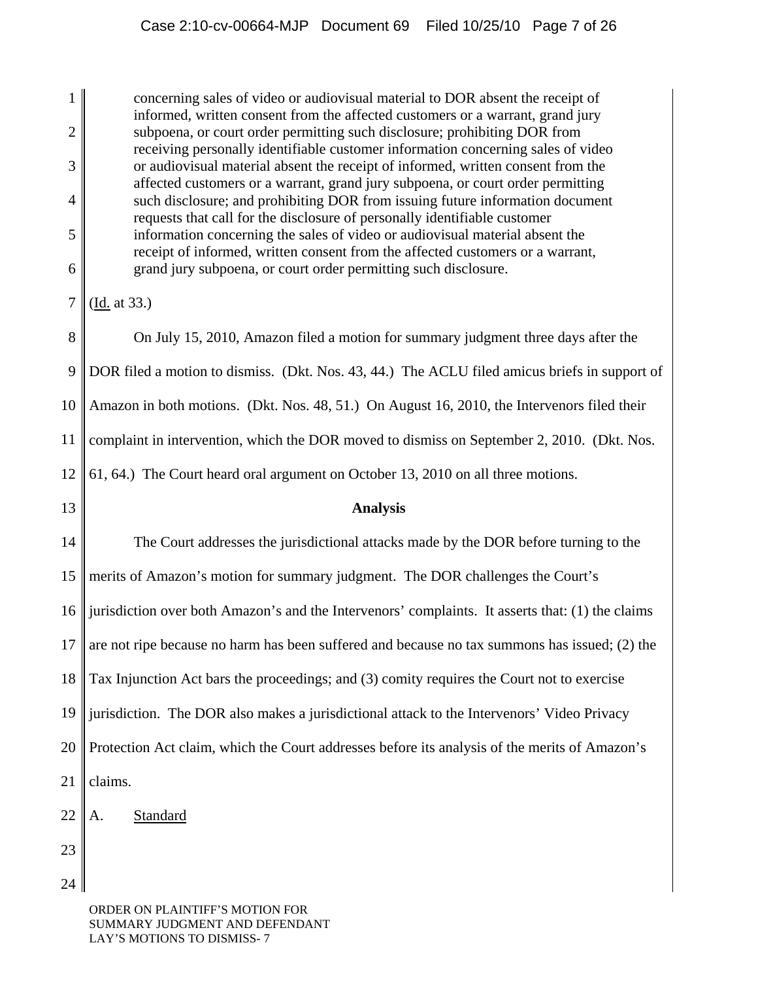1  $\mathcal{D}_{\mathcal{L}}$ 3 4 5 6 7 8 9 10 11 12 13 14 15 16 17 18 19 20 21 22 23 24 concerning sales of video or audiovisual material to DOR absent the receipt of informed, written consent from the affected customers or a warrant, grand jury subpoena, or court order permitting such disclosure; prohibiting DOR from receiving personally identifiable customer information concerning sales of video or audiovisual material absent the receipt of informed, written consent from the affected customers or a warrant, grand jury subpoena, or court order permitting such disclosure; and prohibiting DOR from issuing future information document requests that call for the disclosure of personally identifiable customer information concerning the sales of video or audiovisual material absent the receipt of informed, written consent from the affected customers or a warrant, grand jury subpoena, or court order permitting such disclosure. (Id. at 33.) On July 15, 2010, Amazon filed a motion for summary judgment three days after the DOR filed a motion to dismiss. (Dkt. Nos. 43, 44.) The ACLU filed amicus briefs in support of Amazon in both motions. (Dkt. Nos. 48, 51.) On August 16, 2010, the Intervenors filed their complaint in intervention, which the DOR moved to dismiss on September 2, 2010. (Dkt. Nos. 61, 64.) The Court heard oral argument on October 13, 2010 on all three motions. **Analysis** The Court addresses the jurisdictional attacks made by the DOR before turning to the merits of Amazon's motion for summary judgment. The DOR challenges the Court's jurisdiction over both Amazon's and the Intervenors' complaints. It asserts that: (1) the claims are not ripe because no harm has been suffered and because no tax summons has issued; (2) the Tax Injunction Act bars the proceedings; and (3) comity requires the Court not to exercise jurisdiction. The DOR also makes a jurisdictional attack to the Intervenors' Video Privacy Protection Act claim, which the Court addresses before its analysis of the merits of Amazon's claims. A. Standard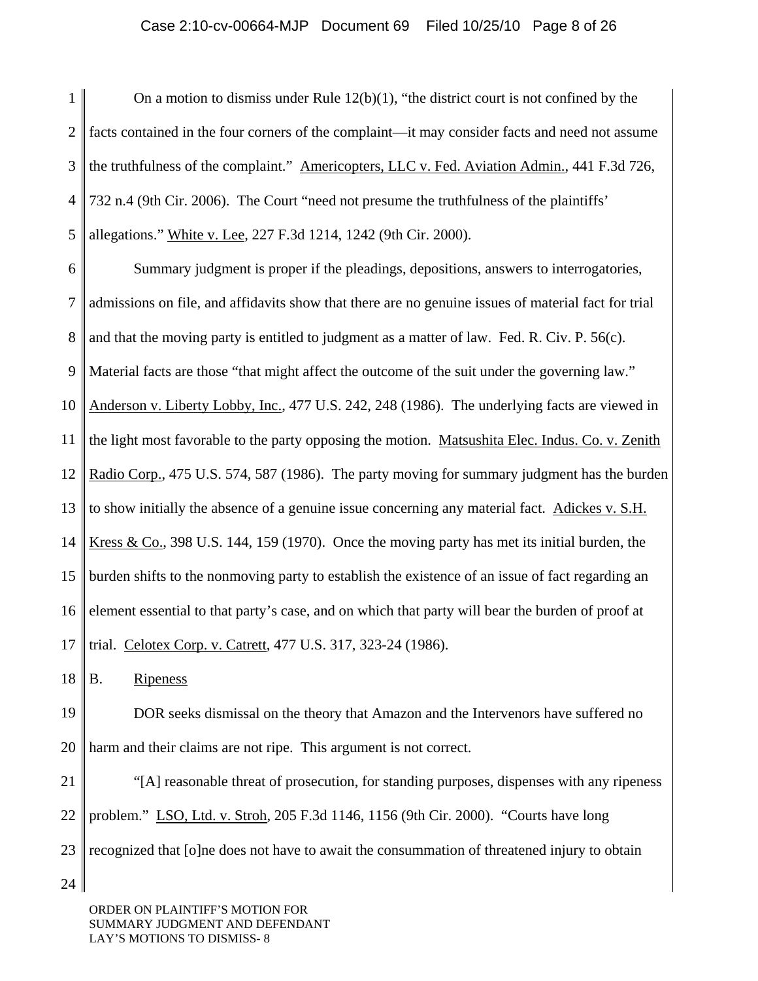### Case 2:10-cv-00664-MJP Document 69 Filed 10/25/10 Page 8 of 26

1 2 3 4 5 On a motion to dismiss under Rule  $12(b)(1)$ , "the district court is not confined by the facts contained in the four corners of the complaint—it may consider facts and need not assume the truthfulness of the complaint." Americopters, LLC v. Fed. Aviation Admin., 441 F.3d 726, 732 n.4 (9th Cir. 2006). The Court "need not presume the truthfulness of the plaintiffs' allegations." White v. Lee, 227 F.3d 1214, 1242 (9th Cir. 2000).

6 7 8 9 10 11 12 13 14 15 16 17 Summary judgment is proper if the pleadings, depositions, answers to interrogatories, admissions on file, and affidavits show that there are no genuine issues of material fact for trial and that the moving party is entitled to judgment as a matter of law. Fed. R. Civ. P. 56(c). Material facts are those "that might affect the outcome of the suit under the governing law." Anderson v. Liberty Lobby, Inc., 477 U.S. 242, 248 (1986). The underlying facts are viewed in the light most favorable to the party opposing the motion. Matsushita Elec. Indus. Co. v. Zenith Radio Corp., 475 U.S. 574, 587 (1986). The party moving for summary judgment has the burden to show initially the absence of a genuine issue concerning any material fact. Adickes v. S.H. Kress & Co., 398 U.S. 144, 159 (1970). Once the moving party has met its initial burden, the burden shifts to the nonmoving party to establish the existence of an issue of fact regarding an element essential to that party's case, and on which that party will bear the burden of proof at trial. Celotex Corp. v. Catrett, 477 U.S. 317, 323-24 (1986).

18 B. Ripeness

19 20 DOR seeks dismissal on the theory that Amazon and the Intervenors have suffered no harm and their claims are not ripe. This argument is not correct.

21 22 23 24 "[A] reasonable threat of prosecution, for standing purposes, dispenses with any ripeness problem." LSO, Ltd. v. Stroh, 205 F.3d 1146, 1156 (9th Cir. 2000). "Courts have long recognized that [o]ne does not have to await the consummation of threatened injury to obtain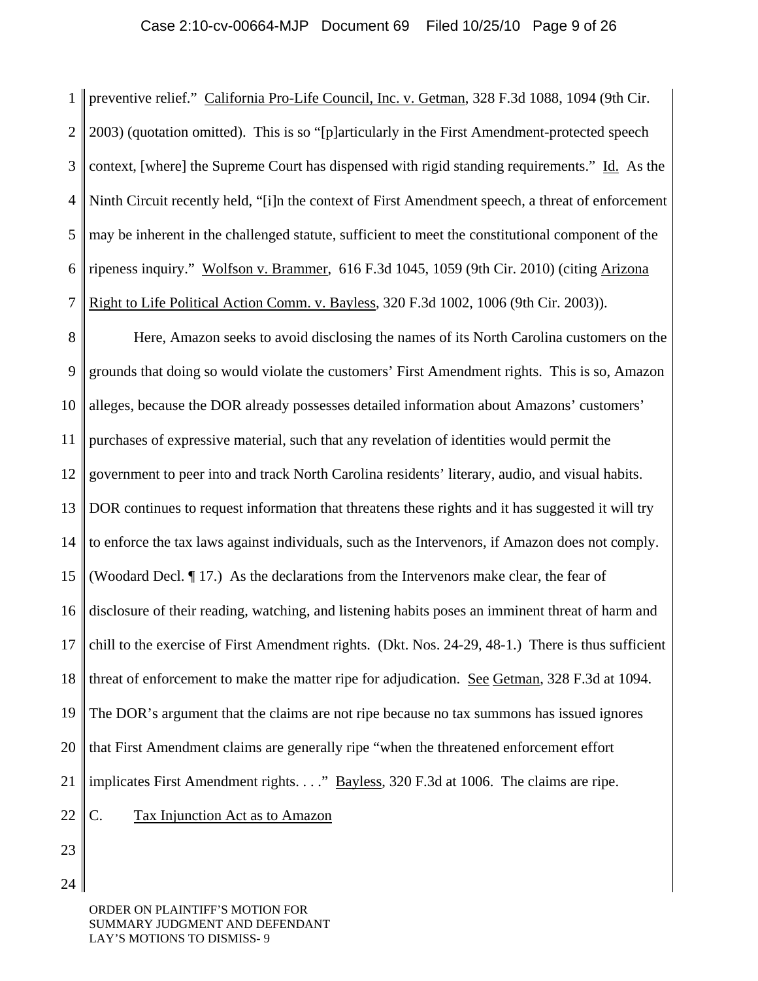1  $\mathcal{D}_{\mathcal{L}}$ 3 4 5 6 7 preventive relief." California Pro-Life Council, Inc. v. Getman, 328 F.3d 1088, 1094 (9th Cir. 2003) (quotation omitted). This is so "[p]articularly in the First Amendment-protected speech context, [where] the Supreme Court has dispensed with rigid standing requirements." Id. As the Ninth Circuit recently held, "[i]n the context of First Amendment speech, a threat of enforcement may be inherent in the challenged statute, sufficient to meet the constitutional component of the ripeness inquiry." Wolfson v. Brammer, 616 F.3d 1045, 1059 (9th Cir. 2010) (citing Arizona Right to Life Political Action Comm. v. Bayless, 320 F.3d 1002, 1006 (9th Cir. 2003)).

8 9 10 11 12 13 14 15 16 17 18 19 20 21 22 Here, Amazon seeks to avoid disclosing the names of its North Carolina customers on the grounds that doing so would violate the customers' First Amendment rights. This is so, Amazon alleges, because the DOR already possesses detailed information about Amazons' customers' purchases of expressive material, such that any revelation of identities would permit the government to peer into and track North Carolina residents' literary, audio, and visual habits. DOR continues to request information that threatens these rights and it has suggested it will try to enforce the tax laws against individuals, such as the Intervenors, if Amazon does not comply. (Woodard Decl. ¶ 17.) As the declarations from the Intervenors make clear, the fear of disclosure of their reading, watching, and listening habits poses an imminent threat of harm and chill to the exercise of First Amendment rights. (Dkt. Nos. 24-29, 48-1.) There is thus sufficient threat of enforcement to make the matter ripe for adjudication. See Getman, 328 F.3d at 1094. The DOR's argument that the claims are not ripe because no tax summons has issued ignores that First Amendment claims are generally ripe "when the threatened enforcement effort implicates First Amendment rights. . . ." <u>Bayless</u>, 320 F.3d at 1006. The claims are ripe. C. Tax Injunction Act as to Amazon

23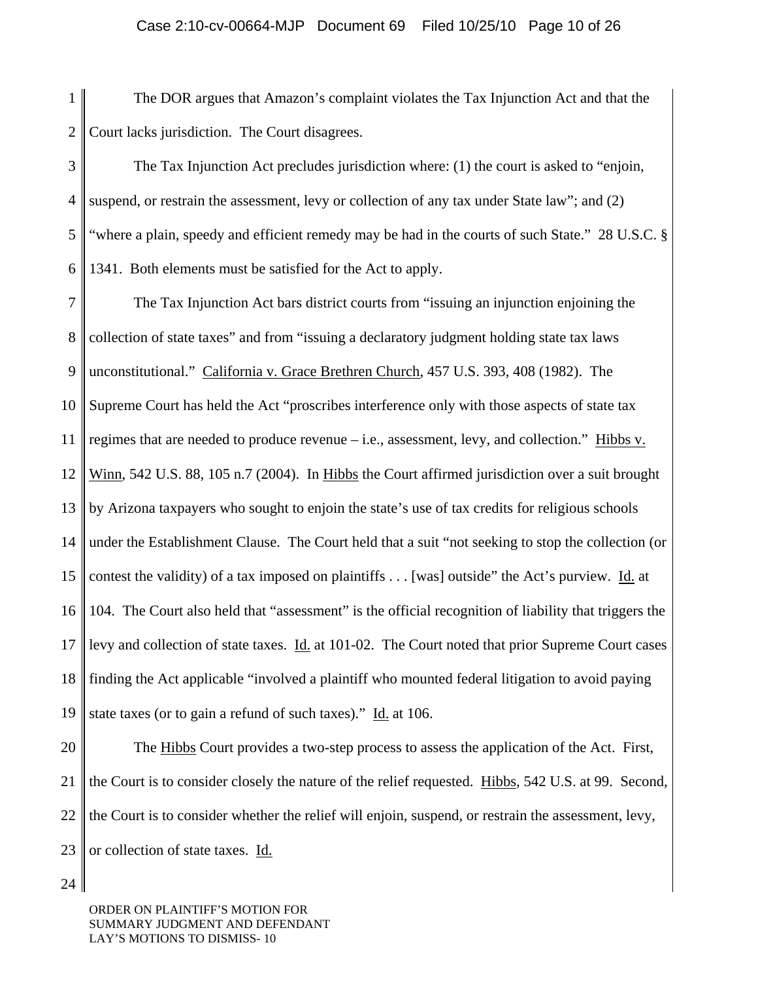1 2 The DOR argues that Amazon's complaint violates the Tax Injunction Act and that the Court lacks jurisdiction. The Court disagrees.

3 4 5 6 The Tax Injunction Act precludes jurisdiction where: (1) the court is asked to "enjoin, suspend, or restrain the assessment, levy or collection of any tax under State law"; and (2) "where a plain, speedy and efficient remedy may be had in the courts of such State." 28 U.S.C. § 1341. Both elements must be satisfied for the Act to apply.

7 8 9 10 11 12 13 14 15 16 17 18 19 The Tax Injunction Act bars district courts from "issuing an injunction enjoining the collection of state taxes" and from "issuing a declaratory judgment holding state tax laws unconstitutional." California v. Grace Brethren Church, 457 U.S. 393, 408 (1982). The Supreme Court has held the Act "proscribes interference only with those aspects of state tax regimes that are needed to produce revenue – i.e., assessment, levy, and collection." Hibbs v. Winn, 542 U.S. 88, 105 n.7 (2004). In Hibbs the Court affirmed jurisdiction over a suit brought by Arizona taxpayers who sought to enjoin the state's use of tax credits for religious schools under the Establishment Clause. The Court held that a suit "not seeking to stop the collection (or contest the validity) of a tax imposed on plaintiffs . . . [was] outside" the Act's purview. Id. at 104. The Court also held that "assessment" is the official recognition of liability that triggers the levy and collection of state taxes. Id. at 101-02. The Court noted that prior Supreme Court cases finding the Act applicable "involved a plaintiff who mounted federal litigation to avoid paying state taxes (or to gain a refund of such taxes)." Id. at 106.

20 21 22 23 The Hibbs Court provides a two-step process to assess the application of the Act. First, the Court is to consider closely the nature of the relief requested. Hibbs, 542 U.S. at 99. Second, the Court is to consider whether the relief will enjoin, suspend, or restrain the assessment, levy, or collection of state taxes. Id.

24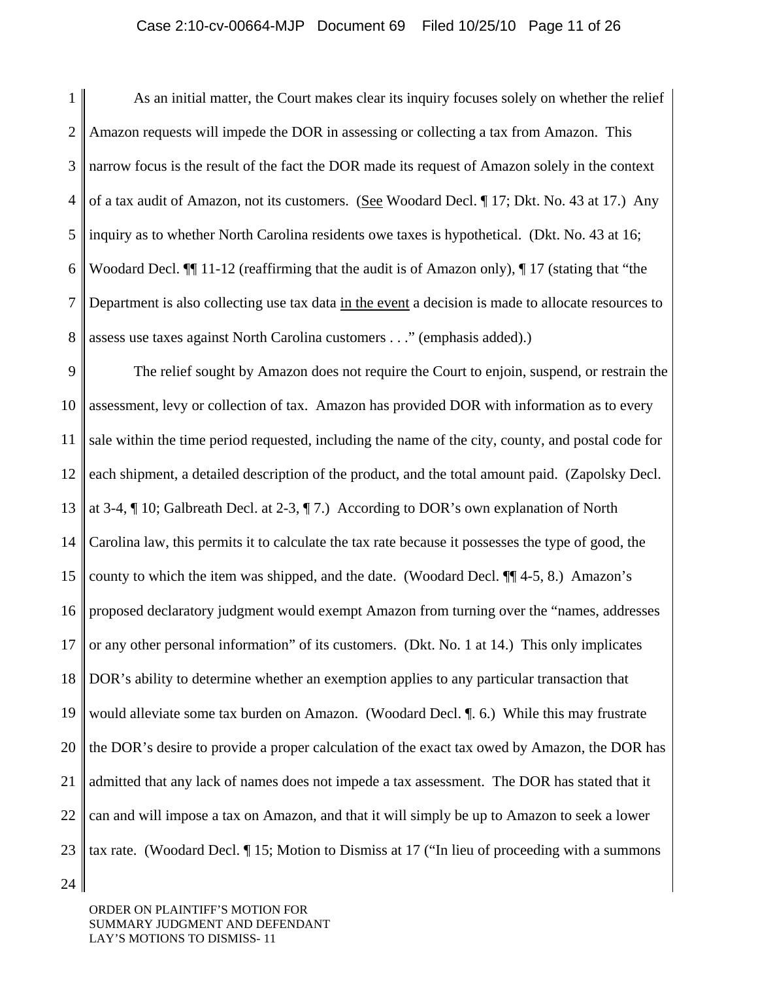### Case 2:10-cv-00664-MJP Document 69 Filed 10/25/10 Page 11 of 26

1 2 3 4 5 6 7 8 As an initial matter, the Court makes clear its inquiry focuses solely on whether the relief Amazon requests will impede the DOR in assessing or collecting a tax from Amazon. This narrow focus is the result of the fact the DOR made its request of Amazon solely in the context of a tax audit of Amazon, not its customers. (See Woodard Decl. ¶ 17; Dkt. No. 43 at 17.) Any inquiry as to whether North Carolina residents owe taxes is hypothetical. (Dkt. No. 43 at 16; Woodard Decl.  $\P$  11-12 (reaffirming that the audit is of Amazon only),  $\P$  17 (stating that "the Department is also collecting use tax data in the event a decision is made to allocate resources to assess use taxes against North Carolina customers . . ." (emphasis added).)

9 10 11 12 13 14 15 16 17 18 19 20 21 22 23 The relief sought by Amazon does not require the Court to enjoin, suspend, or restrain the assessment, levy or collection of tax. Amazon has provided DOR with information as to every sale within the time period requested, including the name of the city, county, and postal code for each shipment, a detailed description of the product, and the total amount paid. (Zapolsky Decl. at 3-4, ¶ 10; Galbreath Decl. at 2-3, ¶ 7.) According to DOR's own explanation of North Carolina law, this permits it to calculate the tax rate because it possesses the type of good, the county to which the item was shipped, and the date. (Woodard Decl. ¶¶ 4-5, 8.) Amazon's proposed declaratory judgment would exempt Amazon from turning over the "names, addresses or any other personal information" of its customers. (Dkt. No. 1 at 14.) This only implicates DOR's ability to determine whether an exemption applies to any particular transaction that would alleviate some tax burden on Amazon. (Woodard Decl. ¶. 6.) While this may frustrate the DOR's desire to provide a proper calculation of the exact tax owed by Amazon, the DOR has admitted that any lack of names does not impede a tax assessment. The DOR has stated that it can and will impose a tax on Amazon, and that it will simply be up to Amazon to seek a lower tax rate. (Woodard Decl. ¶ 15; Motion to Dismiss at 17 ("In lieu of proceeding with a summons

24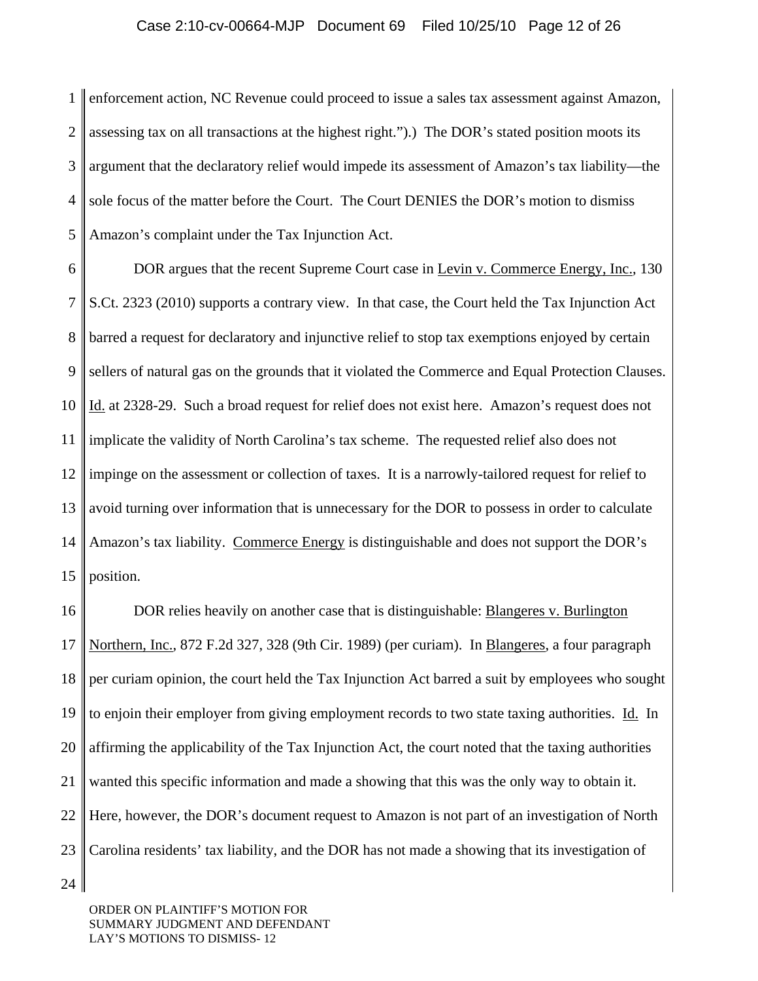1  $\mathcal{D}_{\mathcal{L}}$ 3 4 5 enforcement action, NC Revenue could proceed to issue a sales tax assessment against Amazon, assessing tax on all transactions at the highest right.").) The DOR's stated position moots its argument that the declaratory relief would impede its assessment of Amazon's tax liability—the sole focus of the matter before the Court. The Court DENIES the DOR's motion to dismiss Amazon's complaint under the Tax Injunction Act.

6 7 8 9 10 11 12 13 14 15 DOR argues that the recent Supreme Court case in Levin v. Commerce Energy, Inc., 130 S.Ct. 2323 (2010) supports a contrary view. In that case, the Court held the Tax Injunction Act barred a request for declaratory and injunctive relief to stop tax exemptions enjoyed by certain sellers of natural gas on the grounds that it violated the Commerce and Equal Protection Clauses. Id. at 2328-29. Such a broad request for relief does not exist here. Amazon's request does not implicate the validity of North Carolina's tax scheme. The requested relief also does not impinge on the assessment or collection of taxes. It is a narrowly-tailored request for relief to avoid turning over information that is unnecessary for the DOR to possess in order to calculate Amazon's tax liability. Commerce Energy is distinguishable and does not support the DOR's position.

16 17 18 19 20 21 22 23 DOR relies heavily on another case that is distinguishable: Blangeres v. Burlington Northern, Inc., 872 F.2d 327, 328 (9th Cir. 1989) (per curiam). In Blangeres, a four paragraph per curiam opinion, the court held the Tax Injunction Act barred a suit by employees who sought to enjoin their employer from giving employment records to two state taxing authorities. Id. In affirming the applicability of the Tax Injunction Act, the court noted that the taxing authorities wanted this specific information and made a showing that this was the only way to obtain it. Here, however, the DOR's document request to Amazon is not part of an investigation of North Carolina residents' tax liability, and the DOR has not made a showing that its investigation of

24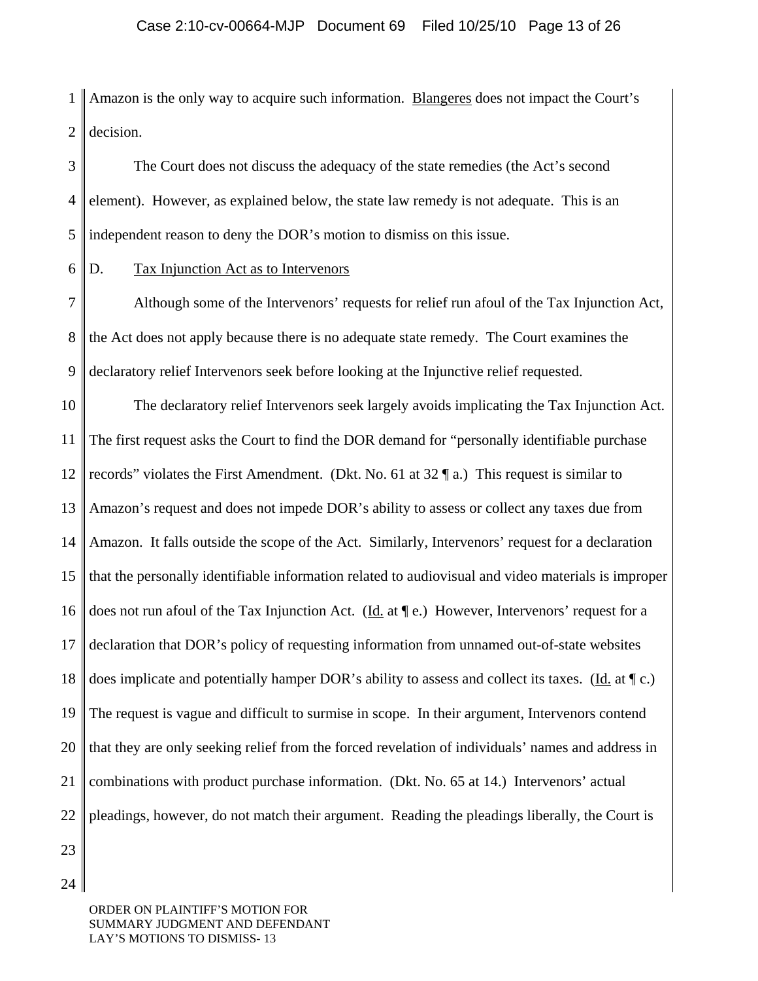1  $\mathcal{D}_{\mathcal{L}}$ Amazon is the only way to acquire such information. Blangeres does not impact the Court's decision.

3 4 5 The Court does not discuss the adequacy of the state remedies (the Act's second element). However, as explained below, the state law remedy is not adequate. This is an independent reason to deny the DOR's motion to dismiss on this issue.

6 D. Tax Injunction Act as to Intervenors

7 8 9 Although some of the Intervenors' requests for relief run afoul of the Tax Injunction Act, the Act does not apply because there is no adequate state remedy. The Court examines the declaratory relief Intervenors seek before looking at the Injunctive relief requested.

10 11 12 13 14 15 16 17 18 19 20 21 22 The declaratory relief Intervenors seek largely avoids implicating the Tax Injunction Act. The first request asks the Court to find the DOR demand for "personally identifiable purchase records" violates the First Amendment. (Dkt. No. 61 at  $32 \, \text{T}$  a.) This request is similar to Amazon's request and does not impede DOR's ability to assess or collect any taxes due from Amazon. It falls outside the scope of the Act. Similarly, Intervenors' request for a declaration that the personally identifiable information related to audiovisual and video materials is improper does not run afoul of the Tax Injunction Act. (Id. at ¶ e.) However, Intervenors' request for a declaration that DOR's policy of requesting information from unnamed out-of-state websites does implicate and potentially hamper DOR's ability to assess and collect its taxes. (Id. at  $\P$  c.) The request is vague and difficult to surmise in scope. In their argument, Intervenors contend that they are only seeking relief from the forced revelation of individuals' names and address in combinations with product purchase information. (Dkt. No. 65 at 14.) Intervenors' actual pleadings, however, do not match their argument. Reading the pleadings liberally, the Court is

23 24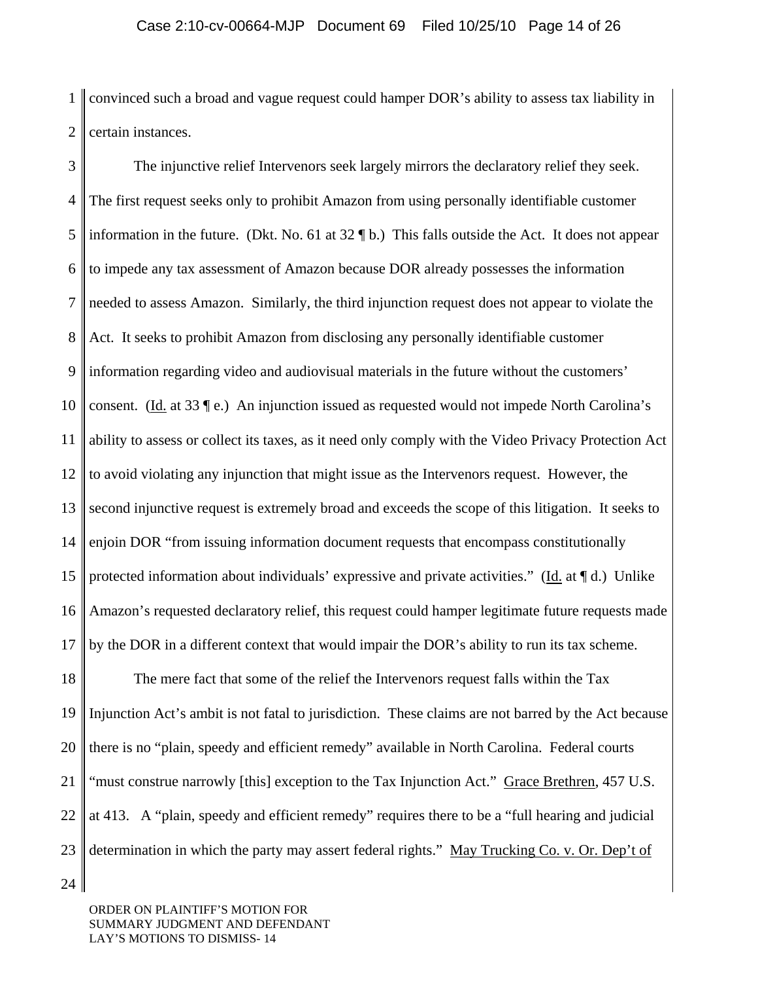1  $\mathcal{D}_{\mathcal{L}}$ convinced such a broad and vague request could hamper DOR's ability to assess tax liability in certain instances.

3 4 5 6 7 8 9 10 11 12 13 14 15 16 17 The injunctive relief Intervenors seek largely mirrors the declaratory relief they seek. The first request seeks only to prohibit Amazon from using personally identifiable customer information in the future. (Dkt. No. 61 at  $32 \text{ }\mathbf{I}$  b.) This falls outside the Act. It does not appear to impede any tax assessment of Amazon because DOR already possesses the information needed to assess Amazon. Similarly, the third injunction request does not appear to violate the Act. It seeks to prohibit Amazon from disclosing any personally identifiable customer information regarding video and audiovisual materials in the future without the customers' consent. (Id. at 33  $\degree$ ) An injunction issued as requested would not impede North Carolina's ability to assess or collect its taxes, as it need only comply with the Video Privacy Protection Act to avoid violating any injunction that might issue as the Intervenors request. However, the second injunctive request is extremely broad and exceeds the scope of this litigation. It seeks to enjoin DOR "from issuing information document requests that encompass constitutionally protected information about individuals' expressive and private activities." (Id. at  $\P d$ .) Unlike Amazon's requested declaratory relief, this request could hamper legitimate future requests made by the DOR in a different context that would impair the DOR's ability to run its tax scheme.

18 19 20 21 22 23 The mere fact that some of the relief the Intervenors request falls within the Tax Injunction Act's ambit is not fatal to jurisdiction. These claims are not barred by the Act because there is no "plain, speedy and efficient remedy" available in North Carolina. Federal courts "must construe narrowly [this] exception to the Tax Injunction Act." Grace Brethren, 457 U.S. at 413. A "plain, speedy and efficient remedy" requires there to be a "full hearing and judicial determination in which the party may assert federal rights." May Trucking Co. v. Or. Dep't of

24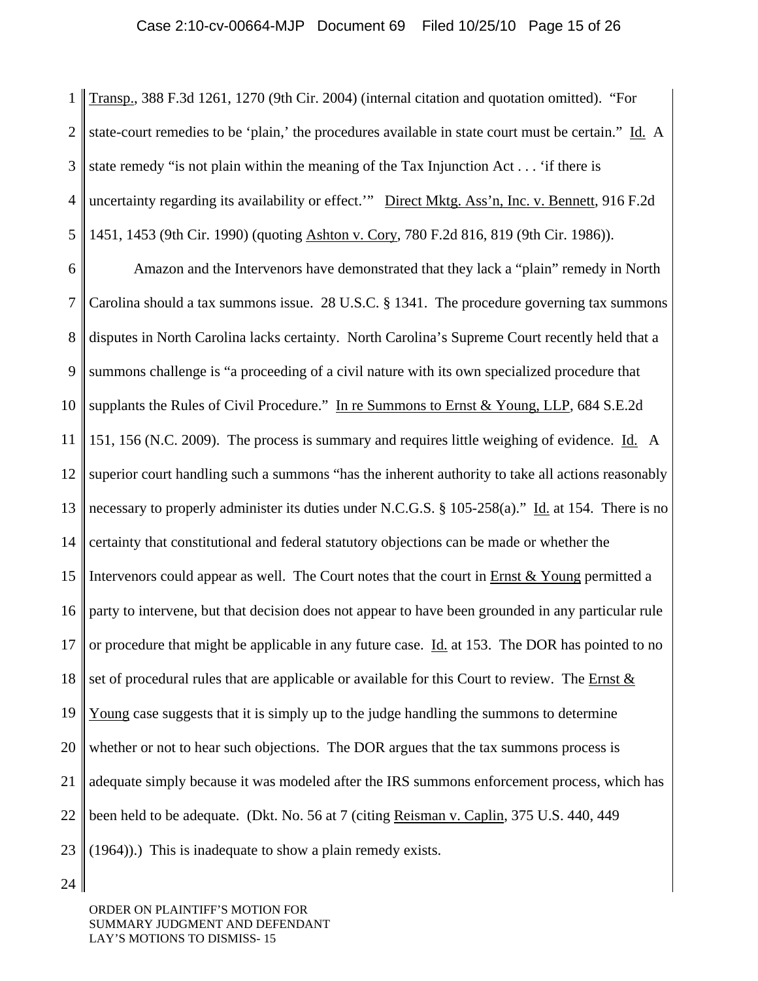1  $\mathcal{D}_{\mathcal{L}}$ 3 4 5 Transp., 388 F.3d 1261, 1270 (9th Cir. 2004) (internal citation and quotation omitted). "For state-court remedies to be 'plain,' the procedures available in state court must be certain." Id. A state remedy "is not plain within the meaning of the Tax Injunction Act . . . 'if there is uncertainty regarding its availability or effect.'" Direct Mktg. Ass'n, Inc. v. Bennett, 916 F.2d 1451, 1453 (9th Cir. 1990) (quoting Ashton v. Cory, 780 F.2d 816, 819 (9th Cir. 1986)).

6 7 8 9 10 11 12 13 14 15 16 17 18 19 20 21 22 23 Amazon and the Intervenors have demonstrated that they lack a "plain" remedy in North Carolina should a tax summons issue. 28 U.S.C. § 1341. The procedure governing tax summons disputes in North Carolina lacks certainty. North Carolina's Supreme Court recently held that a summons challenge is "a proceeding of a civil nature with its own specialized procedure that supplants the Rules of Civil Procedure." In re Summons to Ernst & Young, LLP, 684 S.E.2d 151, 156 (N.C. 2009). The process is summary and requires little weighing of evidence. Id. A superior court handling such a summons "has the inherent authority to take all actions reasonably necessary to properly administer its duties under N.C.G.S. § 105-258(a)." Id. at 154. There is no certainty that constitutional and federal statutory objections can be made or whether the Intervenors could appear as well. The Court notes that the court in  $Ernst & Young$  permitted a party to intervene, but that decision does not appear to have been grounded in any particular rule or procedure that might be applicable in any future case. Id. at 153. The DOR has pointed to no set of procedural rules that are applicable or available for this Court to review. The Ernst & Young case suggests that it is simply up to the judge handling the summons to determine whether or not to hear such objections. The DOR argues that the tax summons process is adequate simply because it was modeled after the IRS summons enforcement process, which has been held to be adequate. (Dkt. No. 56 at 7 (citing Reisman v. Caplin, 375 U.S. 440, 449 (1964)).) This is inadequate to show a plain remedy exists.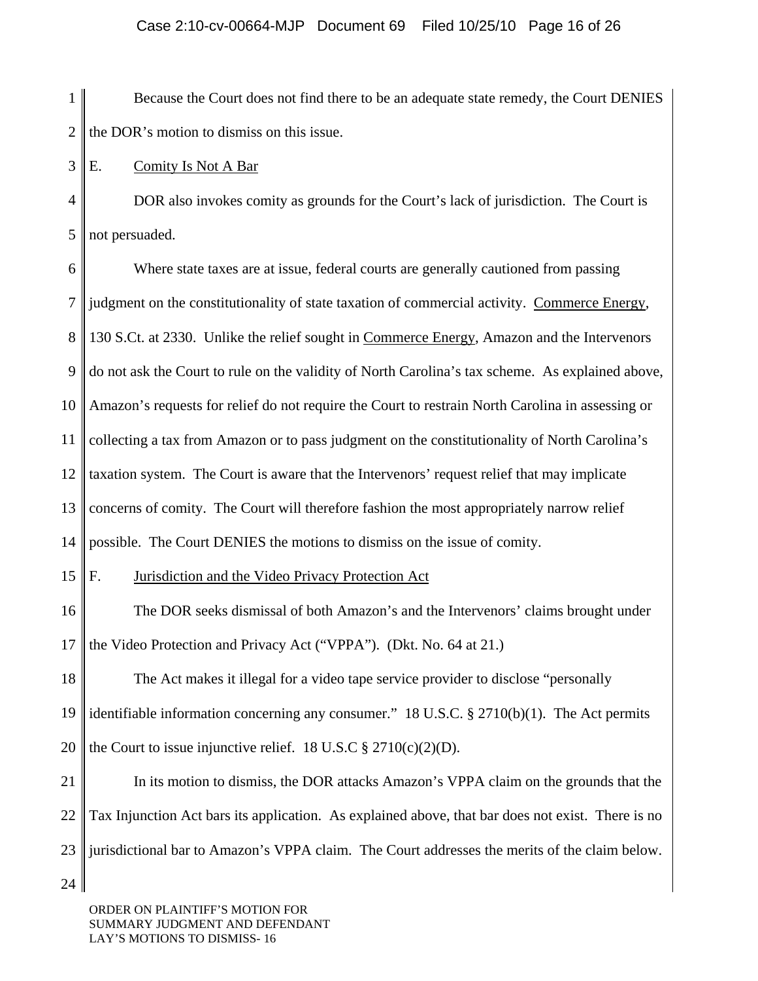1  $\mathcal{D}_{\mathcal{L}}$  Because the Court does not find there to be an adequate state remedy, the Court DENIES the DOR's motion to dismiss on this issue.

3 E. Comity Is Not A Bar

4 5 DOR also invokes comity as grounds for the Court's lack of jurisdiction. The Court is not persuaded.

6 7 8 9 10 11 12 13 14 15 Where state taxes are at issue, federal courts are generally cautioned from passing judgment on the constitutionality of state taxation of commercial activity. Commerce Energy, 130 S.Ct. at 2330. Unlike the relief sought in Commerce Energy, Amazon and the Intervenors do not ask the Court to rule on the validity of North Carolina's tax scheme. As explained above, Amazon's requests for relief do not require the Court to restrain North Carolina in assessing or collecting a tax from Amazon or to pass judgment on the constitutionality of North Carolina's taxation system. The Court is aware that the Intervenors' request relief that may implicate concerns of comity. The Court will therefore fashion the most appropriately narrow relief possible. The Court DENIES the motions to dismiss on the issue of comity. F. Jurisdiction and the Video Privacy Protection Act

16 17 The DOR seeks dismissal of both Amazon's and the Intervenors' claims brought under the Video Protection and Privacy Act ("VPPA"). (Dkt. No. 64 at 21.)

18 19 20 The Act makes it illegal for a video tape service provider to disclose "personally identifiable information concerning any consumer." 18 U.S.C.  $\S 2710(b)(1)$ . The Act permits the Court to issue injunctive relief. 18 U.S.C  $\S 2710(c)(2)(D)$ .

21 22 23 In its motion to dismiss, the DOR attacks Amazon's VPPA claim on the grounds that the Tax Injunction Act bars its application. As explained above, that bar does not exist. There is no jurisdictional bar to Amazon's VPPA claim. The Court addresses the merits of the claim below.

24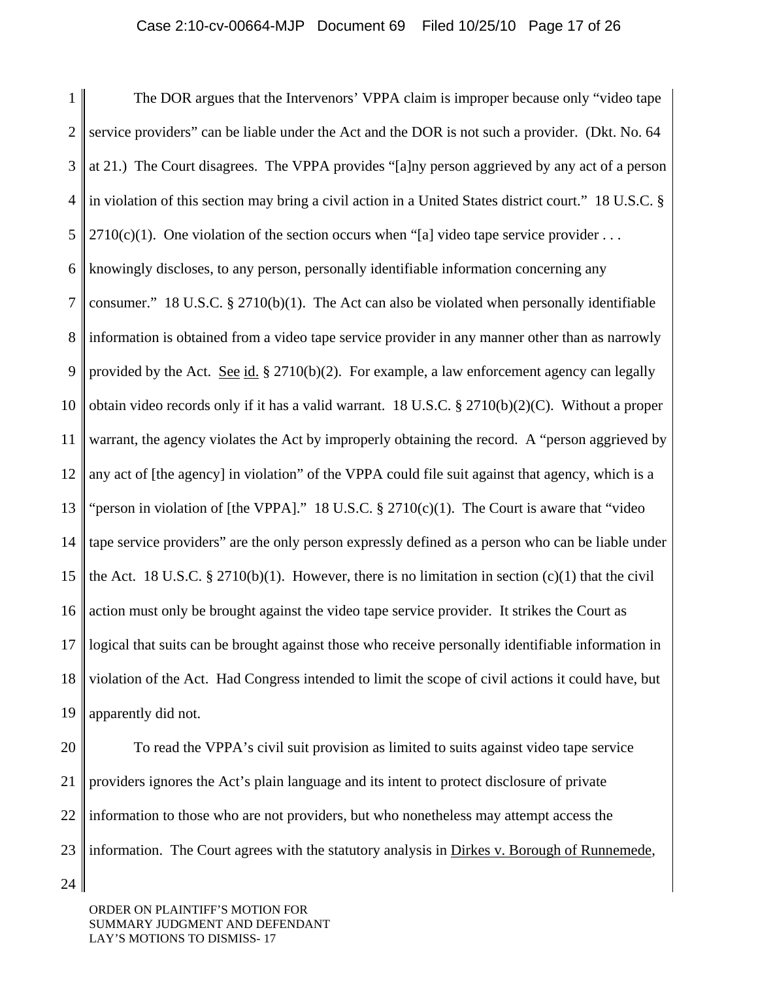1 2 3 4 5 6 7 8 9 10 11 12 13 14 15 16 17 18 19 The DOR argues that the Intervenors' VPPA claim is improper because only "video tape service providers" can be liable under the Act and the DOR is not such a provider. (Dkt. No. 64 at 21.) The Court disagrees. The VPPA provides "[a]ny person aggrieved by any act of a person in violation of this section may bring a civil action in a United States district court." 18 U.S.C. §  $2710(c)(1)$ . One violation of the section occurs when "[a] video tape service provider ... knowingly discloses, to any person, personally identifiable information concerning any consumer." 18 U.S.C.  $\S$  2710(b)(1). The Act can also be violated when personally identifiable information is obtained from a video tape service provider in any manner other than as narrowly provided by the Act. See id.  $\S 2710(b)(2)$ . For example, a law enforcement agency can legally obtain video records only if it has a valid warrant. 18 U.S.C. § 2710(b)(2)(C). Without a proper warrant, the agency violates the Act by improperly obtaining the record. A "person aggrieved by any act of [the agency] in violation" of the VPPA could file suit against that agency, which is a "person in violation of [the VPPA]." 18 U.S.C. § 2710(c)(1). The Court is aware that "video tape service providers" are the only person expressly defined as a person who can be liable under the Act. 18 U.S.C. § 2710(b)(1). However, there is no limitation in section  $(c)(1)$  that the civil action must only be brought against the video tape service provider. It strikes the Court as logical that suits can be brought against those who receive personally identifiable information in violation of the Act. Had Congress intended to limit the scope of civil actions it could have, but apparently did not.

20

21

22

23

24

 To read the VPPA's civil suit provision as limited to suits against video tape service providers ignores the Act's plain language and its intent to protect disclosure of private information to those who are not providers, but who nonetheless may attempt access the information. The Court agrees with the statutory analysis in Dirkes v. Borough of Runnemede,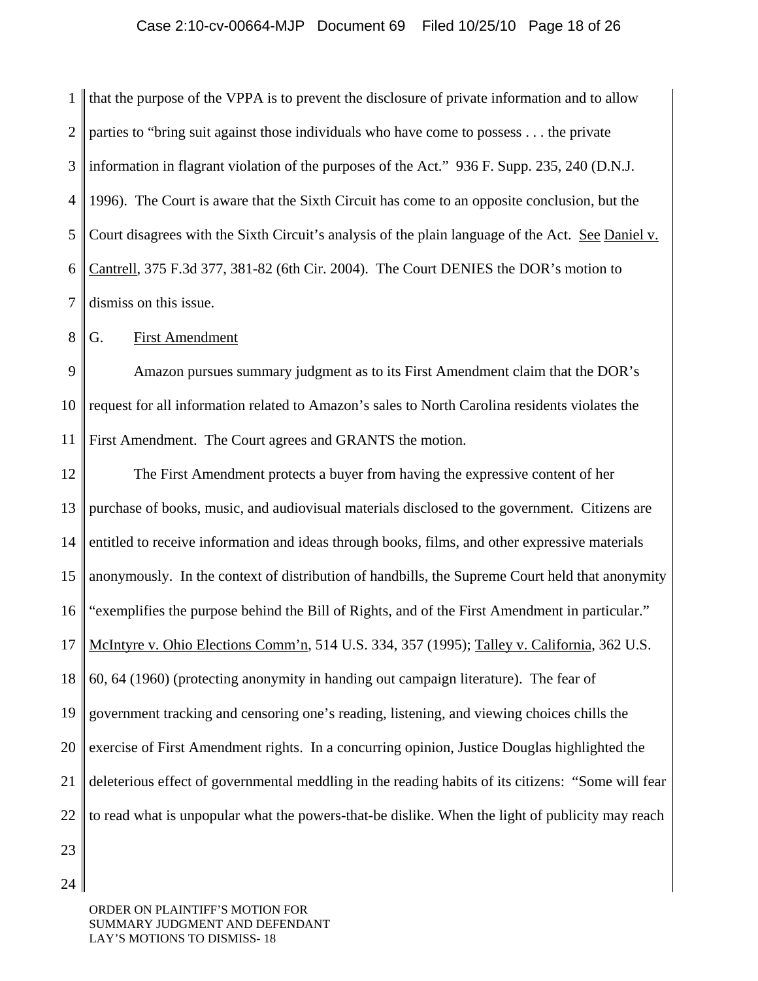1  $\mathcal{D}_{\mathcal{L}}$ 3 4 5 6 7 that the purpose of the VPPA is to prevent the disclosure of private information and to allow parties to "bring suit against those individuals who have come to possess . . . the private information in flagrant violation of the purposes of the Act." 936 F. Supp. 235, 240 (D.N.J. 1996). The Court is aware that the Sixth Circuit has come to an opposite conclusion, but the Court disagrees with the Sixth Circuit's analysis of the plain language of the Act. See Daniel v. Cantrell, 375 F.3d 377, 381-82 (6th Cir. 2004). The Court DENIES the DOR's motion to dismiss on this issue.

8 G. First Amendment

9 10 11 Amazon pursues summary judgment as to its First Amendment claim that the DOR's request for all information related to Amazon's sales to North Carolina residents violates the First Amendment. The Court agrees and GRANTS the motion.

12 13 14 15 16 17 18 19 20 21 22 The First Amendment protects a buyer from having the expressive content of her purchase of books, music, and audiovisual materials disclosed to the government. Citizens are entitled to receive information and ideas through books, films, and other expressive materials anonymously. In the context of distribution of handbills, the Supreme Court held that anonymity "exemplifies the purpose behind the Bill of Rights, and of the First Amendment in particular." McIntyre v. Ohio Elections Comm'n, 514 U.S. 334, 357 (1995); Talley v. California, 362 U.S. 60, 64 (1960) (protecting anonymity in handing out campaign literature). The fear of government tracking and censoring one's reading, listening, and viewing choices chills the exercise of First Amendment rights. In a concurring opinion, Justice Douglas highlighted the deleterious effect of governmental meddling in the reading habits of its citizens: "Some will fear to read what is unpopular what the powers-that-be dislike. When the light of publicity may reach

23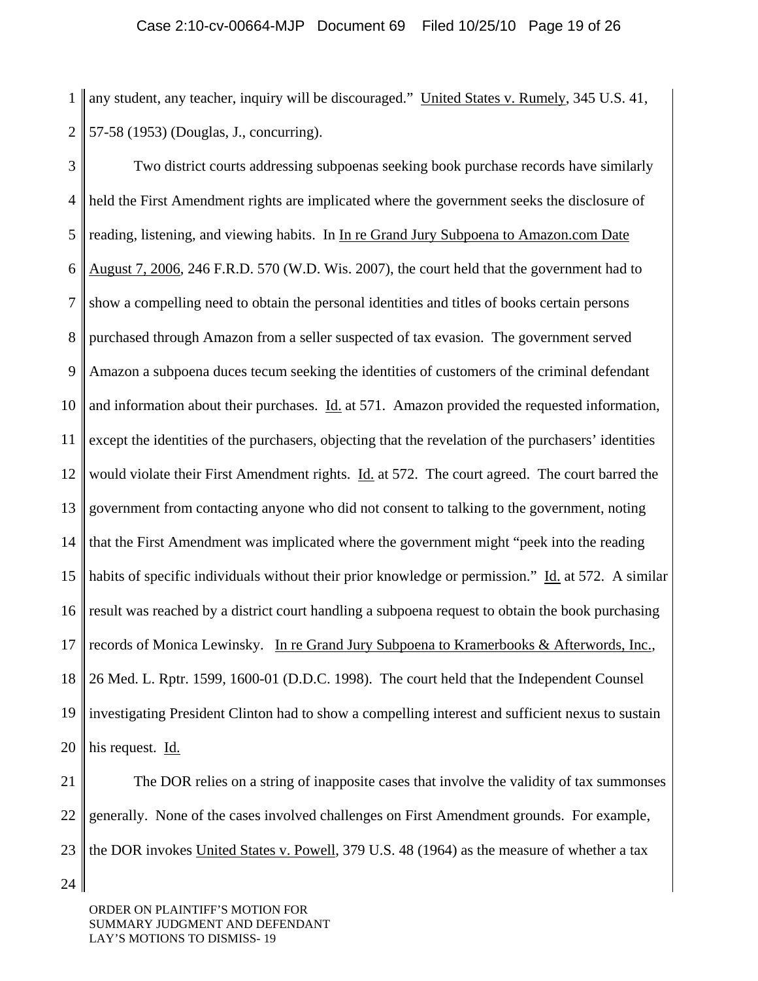1 2 any student, any teacher, inquiry will be discouraged." United States v. Rumely, 345 U.S. 41, 57-58 (1953) (Douglas, J., concurring).

3 4 5 6 7 8 9 10 11 12 13 14 15 16 17 18 19 20 Two district courts addressing subpoenas seeking book purchase records have similarly held the First Amendment rights are implicated where the government seeks the disclosure of reading, listening, and viewing habits. In In re Grand Jury Subpoena to Amazon.com Date August 7, 2006, 246 F.R.D. 570 (W.D. Wis. 2007), the court held that the government had to show a compelling need to obtain the personal identities and titles of books certain persons purchased through Amazon from a seller suspected of tax evasion. The government served Amazon a subpoena duces tecum seeking the identities of customers of the criminal defendant and information about their purchases.  $\underline{Id}$ , at 571. Amazon provided the requested information, except the identities of the purchasers, objecting that the revelation of the purchasers' identities would violate their First Amendment rights.  $\underline{Id}$  at 572. The court agreed. The court barred the government from contacting anyone who did not consent to talking to the government, noting that the First Amendment was implicated where the government might "peek into the reading habits of specific individuals without their prior knowledge or permission." Id. at 572. A similar result was reached by a district court handling a subpoena request to obtain the book purchasing records of Monica Lewinsky. In re Grand Jury Subpoena to Kramerbooks & Afterwords, Inc., 26 Med. L. Rptr. 1599, 1600-01 (D.D.C. 1998). The court held that the Independent Counsel investigating President Clinton had to show a compelling interest and sufficient nexus to sustain his request. Id.

21 22 23 The DOR relies on a string of inapposite cases that involve the validity of tax summonses generally. None of the cases involved challenges on First Amendment grounds. For example, the DOR invokes United States v. Powell, 379 U.S. 48 (1964) as the measure of whether a tax

ORDER ON PLAINTIFF'S MOTION FOR SUMMARY JUDGMENT AND DEFENDANT LAY'S MOTIONS TO DISMISS- 19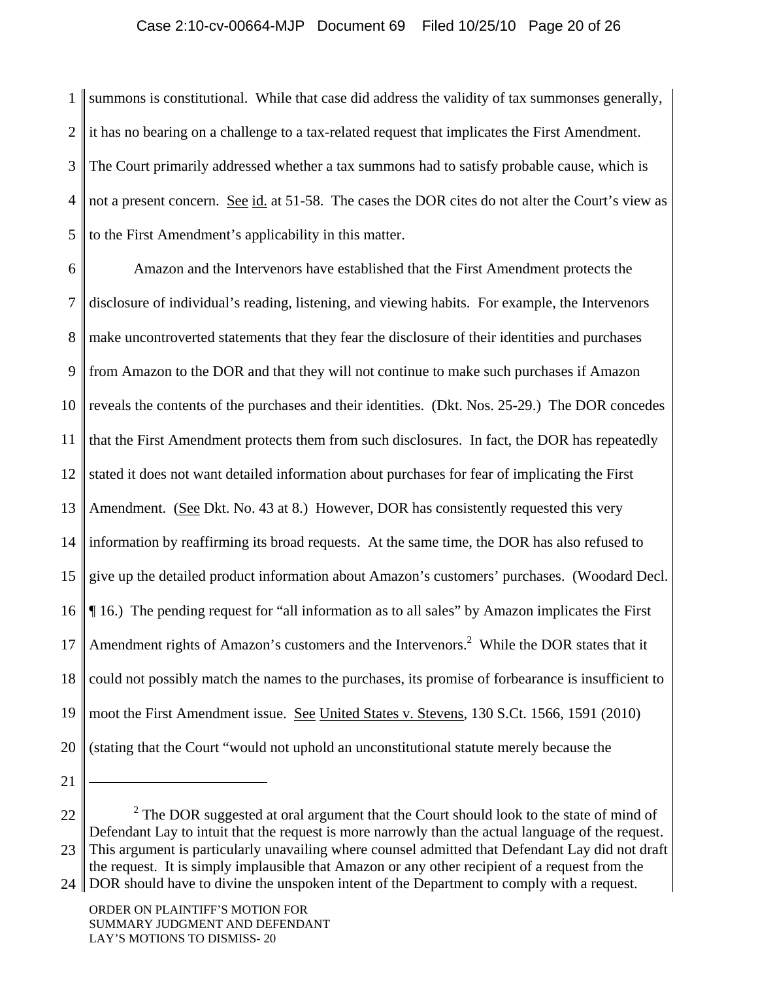## Case 2:10-cv-00664-MJP Document 69 Filed 10/25/10 Page 20 of 26

1  $\mathcal{D}_{\mathcal{L}}$ 3 4 5 summons is constitutional. While that case did address the validity of tax summonses generally, it has no bearing on a challenge to a tax-related request that implicates the First Amendment. The Court primarily addressed whether a tax summons had to satisfy probable cause, which is not a present concern. See id. at 51-58. The cases the DOR cites do not alter the Court's view as to the First Amendment's applicability in this matter.

6 7 8 9 10 11 12 13 14 15 16 17 18 19 20 Amazon and the Intervenors have established that the First Amendment protects the disclosure of individual's reading, listening, and viewing habits. For example, the Intervenors make uncontroverted statements that they fear the disclosure of their identities and purchases from Amazon to the DOR and that they will not continue to make such purchases if Amazon reveals the contents of the purchases and their identities. (Dkt. Nos. 25-29.) The DOR concedes that the First Amendment protects them from such disclosures. In fact, the DOR has repeatedly stated it does not want detailed information about purchases for fear of implicating the First Amendment. (See Dkt. No. 43 at 8.) However, DOR has consistently requested this very information by reaffirming its broad requests. At the same time, the DOR has also refused to give up the detailed product information about Amazon's customers' purchases. (Woodard Decl. ¶ 16.) The pending request for "all information as to all sales" by Amazon implicates the First Amendment rights of Amazon's customers and the Intervenors.<sup>2</sup> While the DOR states that it could not possibly match the names to the purchases, its promise of forbearance is insufficient to moot the First Amendment issue. See United States v. Stevens, 130 S.Ct. 1566, 1591 (2010) (stating that the Court "would not uphold an unconstitutional statute merely because the

21

 $\overline{a}$ 

<sup>22</sup> 23  $2^2$  The DOR suggested at oral argument that the Court should look to the state of mind of Defendant Lay to intuit that the request is more narrowly than the actual language of the request. This argument is particularly unavailing where counsel admitted that Defendant Lay did not draft the request. It is simply implausible that Amazon or any other recipient of a request from the

 $24 \parallel$ DOR should have to divine the unspoken intent of the Department to comply with a request.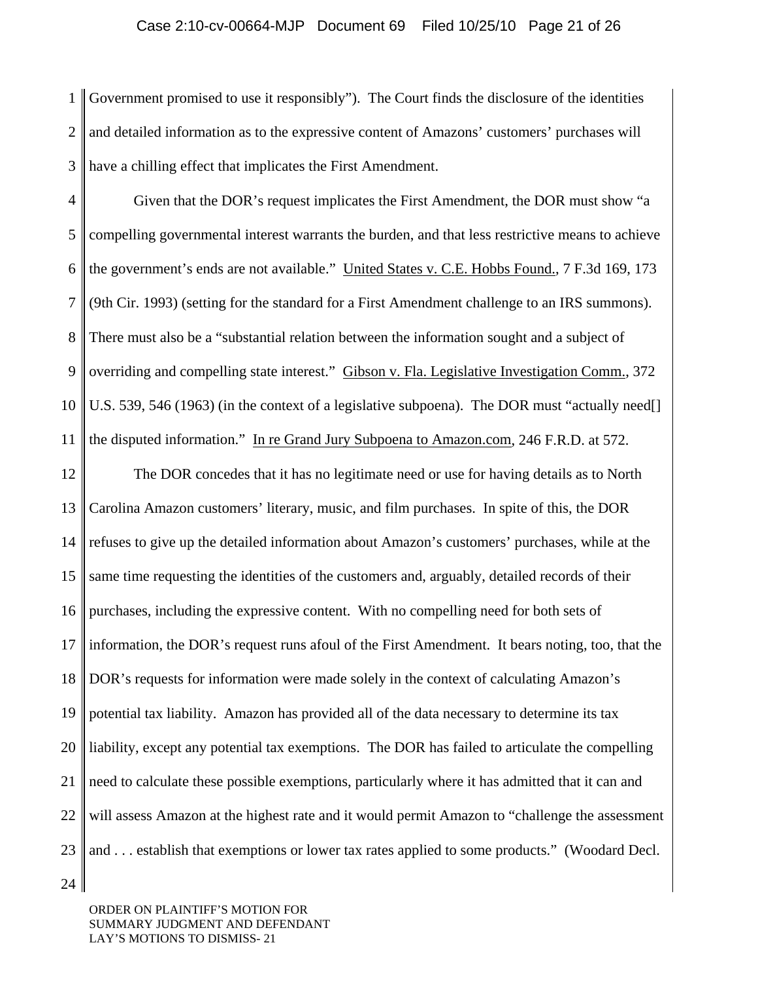1  $\mathcal{D}_{\mathcal{L}}$ 3 Government promised to use it responsibly"). The Court finds the disclosure of the identities and detailed information as to the expressive content of Amazons' customers' purchases will have a chilling effect that implicates the First Amendment.

4 5 6 7 8 9 10 11 Given that the DOR's request implicates the First Amendment, the DOR must show "a compelling governmental interest warrants the burden, and that less restrictive means to achieve the government's ends are not available." United States v. C.E. Hobbs Found., 7 F.3d 169, 173 (9th Cir. 1993) (setting for the standard for a First Amendment challenge to an IRS summons). There must also be a "substantial relation between the information sought and a subject of overriding and compelling state interest." Gibson v. Fla. Legislative Investigation Comm., 372 U.S. 539, 546 (1963) (in the context of a legislative subpoena). The DOR must "actually need[] the disputed information." In re Grand Jury Subpoena to Amazon.com, 246 F.R.D. at 572.

12 13 14 15 16 17 18 19 20 21 22 23 The DOR concedes that it has no legitimate need or use for having details as to North Carolina Amazon customers' literary, music, and film purchases. In spite of this, the DOR refuses to give up the detailed information about Amazon's customers' purchases, while at the same time requesting the identities of the customers and, arguably, detailed records of their purchases, including the expressive content. With no compelling need for both sets of information, the DOR's request runs afoul of the First Amendment. It bears noting, too, that the DOR's requests for information were made solely in the context of calculating Amazon's potential tax liability. Amazon has provided all of the data necessary to determine its tax liability, except any potential tax exemptions. The DOR has failed to articulate the compelling need to calculate these possible exemptions, particularly where it has admitted that it can and will assess Amazon at the highest rate and it would permit Amazon to "challenge the assessment and . . . establish that exemptions or lower tax rates applied to some products." (Woodard Decl.

24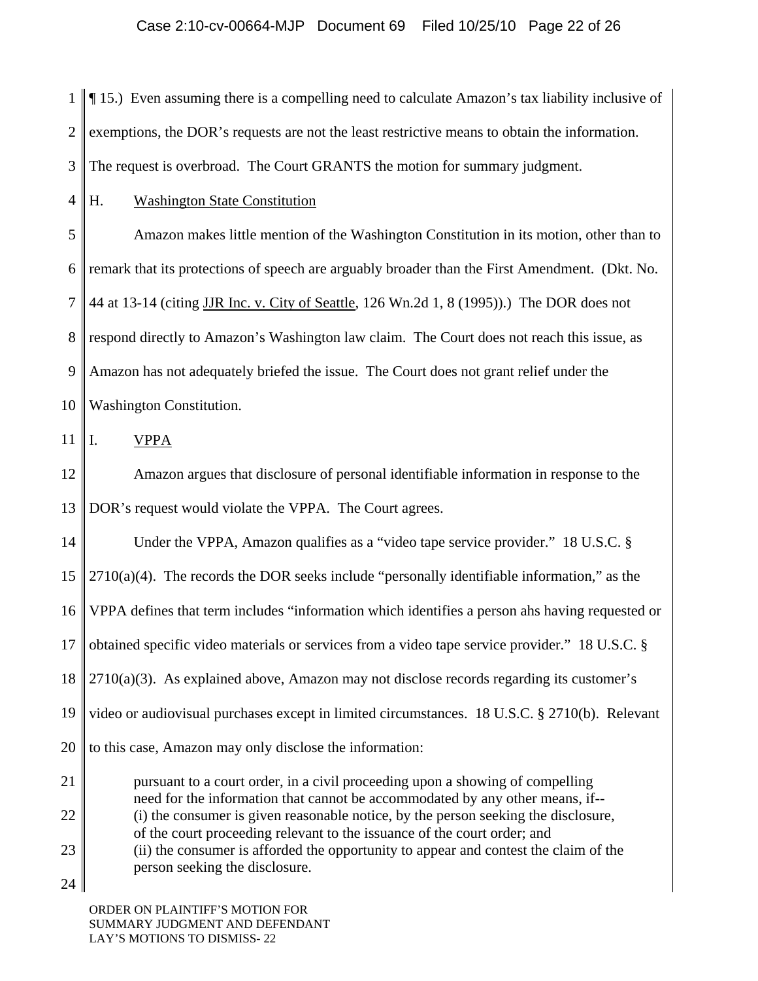1  $\mathcal{D}_{\mathcal{L}}$ 3 ¶ 15.) Even assuming there is a compelling need to calculate Amazon's tax liability inclusive of exemptions, the DOR's requests are not the least restrictive means to obtain the information. The request is overbroad. The Court GRANTS the motion for summary judgment.

4 H. Washington State Constitution

5 6 7 8 9 10 Amazon makes little mention of the Washington Constitution in its motion, other than to remark that its protections of speech are arguably broader than the First Amendment. (Dkt. No. 44 at 13-14 (citing JJR Inc. v. City of Seattle, 126 Wn.2d 1, 8 (1995)).) The DOR does not respond directly to Amazon's Washington law claim. The Court does not reach this issue, as Amazon has not adequately briefed the issue. The Court does not grant relief under the Washington Constitution.

11 I. VPPA

12 13 Amazon argues that disclosure of personal identifiable information in response to the DOR's request would violate the VPPA. The Court agrees.

14 15 16 17 18 19 20 21 Under the VPPA, Amazon qualifies as a "video tape service provider." 18 U.S.C. §  $2710(a)(4)$ . The records the DOR seeks include "personally identifiable information," as the VPPA defines that term includes "information which identifies a person ahs having requested or obtained specific video materials or services from a video tape service provider." 18 U.S.C. §  $2710(a)(3)$ . As explained above, Amazon may not disclose records regarding its customer's video or audiovisual purchases except in limited circumstances. 18 U.S.C. § 2710(b). Relevant to this case, Amazon may only disclose the information: pursuant to a court order, in a civil proceeding upon a showing of compelling

22 23 need for the information that cannot be accommodated by any other means, if-- (i) the consumer is given reasonable notice, by the person seeking the disclosure, of the court proceeding relevant to the issuance of the court order; and (ii) the consumer is afforded the opportunity to appear and contest the claim of the person seeking the disclosure.

24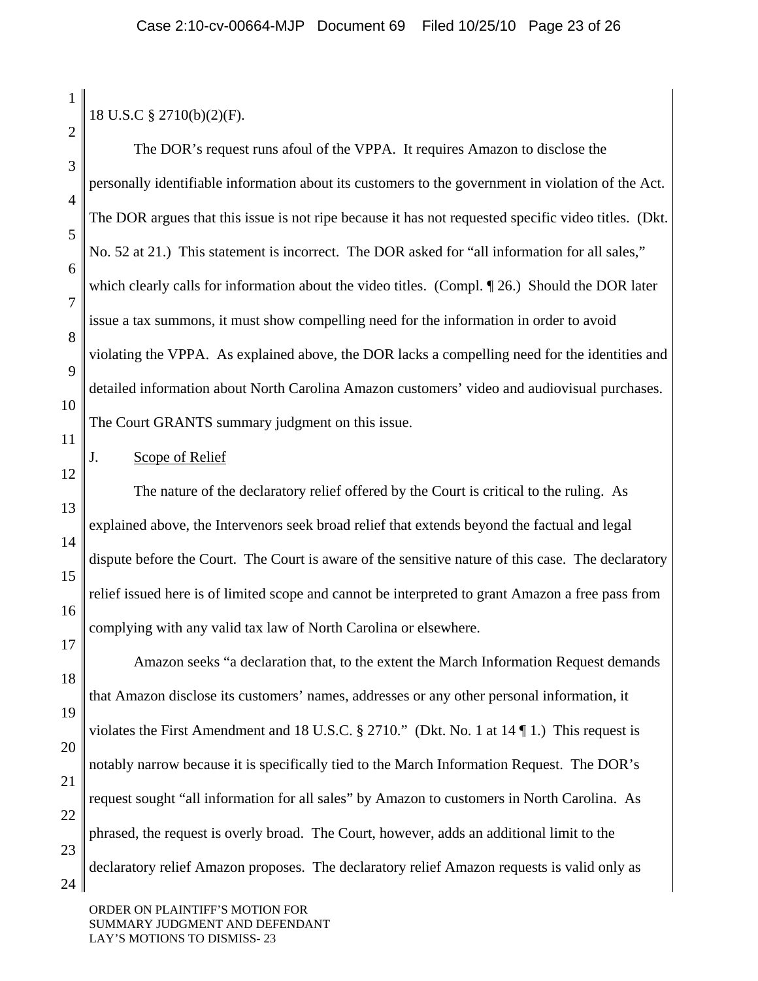| $\mathbf{1}$   | 18 U.S.C § 2710(b)(2)(F).                                                                            |  |
|----------------|------------------------------------------------------------------------------------------------------|--|
| $\overline{2}$ |                                                                                                      |  |
| 3              | The DOR's request runs afoul of the VPPA. It requires Amazon to disclose the                         |  |
| $\overline{4}$ | personally identifiable information about its customers to the government in violation of the Act.   |  |
| 5              | The DOR argues that this issue is not ripe because it has not requested specific video titles. (Dkt. |  |
| 6              | No. 52 at 21.) This statement is incorrect. The DOR asked for "all information for all sales,"       |  |
| $\overline{7}$ | which clearly calls for information about the video titles. (Compl. 126.) Should the DOR later       |  |
| 8              | issue a tax summons, it must show compelling need for the information in order to avoid              |  |
| 9              | violating the VPPA. As explained above, the DOR lacks a compelling need for the identities and       |  |
| 10             | detailed information about North Carolina Amazon customers' video and audiovisual purchases.         |  |
| 11             | The Court GRANTS summary judgment on this issue.                                                     |  |
| 12             | Scope of Relief<br>J.                                                                                |  |
| 13             | The nature of the declaratory relief offered by the Court is critical to the ruling. As              |  |
| 14             | explained above, the Intervenors seek broad relief that extends beyond the factual and legal         |  |
| 15             | dispute before the Court. The Court is aware of the sensitive nature of this case. The declaratory   |  |
| 16             | relief issued here is of limited scope and cannot be interpreted to grant Amazon a free pass from    |  |
| 17             | complying with any valid tax law of North Carolina or elsewhere.                                     |  |
| 18             | Amazon seeks "a declaration that, to the extent the March Information Request demands                |  |
| 19             | that Amazon disclose its customers' names, addresses or any other personal information, it           |  |
| 20             | violates the First Amendment and 18 U.S.C. § 2710." (Dkt. No. 1 at $14 \P 1$ .) This request is      |  |
| 21             | notably narrow because it is specifically tied to the March Information Request. The DOR's           |  |
| 22             | request sought "all information for all sales" by Amazon to customers in North Carolina. As          |  |
| 23             | phrased, the request is overly broad. The Court, however, adds an additional limit to the            |  |
| 24             | declaratory relief Amazon proposes. The declaratory relief Amazon requests is valid only as          |  |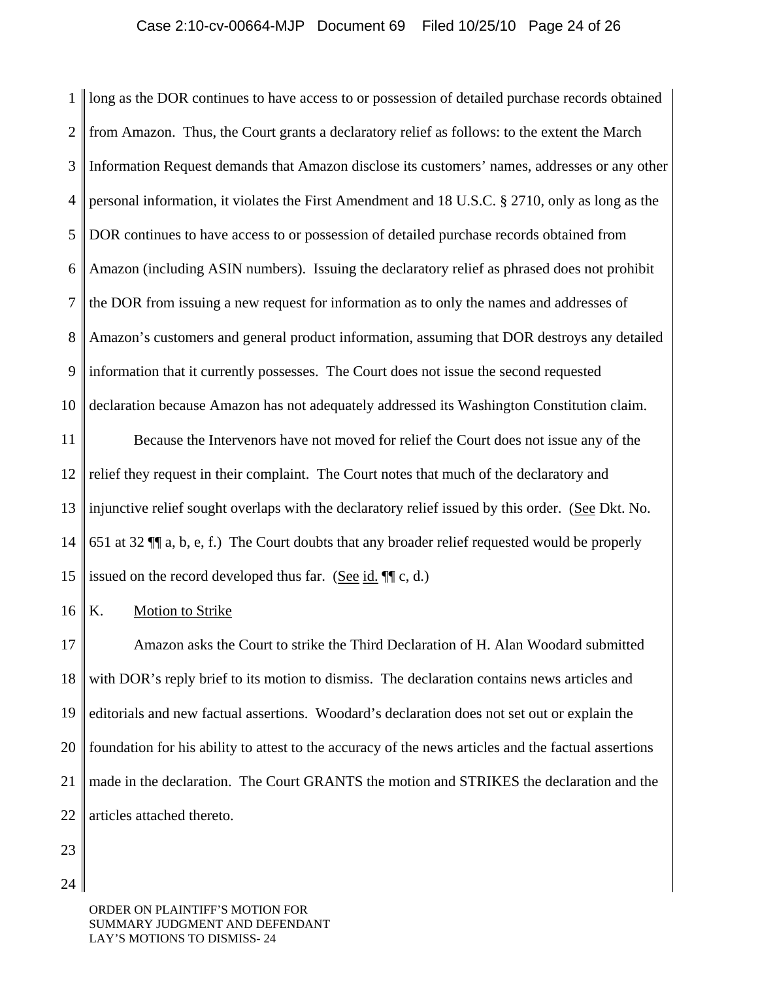1  $\mathcal{D}_{\mathcal{L}}$ 3 4 5 6 7 8 9 10 long as the DOR continues to have access to or possession of detailed purchase records obtained from Amazon. Thus, the Court grants a declaratory relief as follows: to the extent the March Information Request demands that Amazon disclose its customers' names, addresses or any other personal information, it violates the First Amendment and 18 U.S.C. § 2710, only as long as the DOR continues to have access to or possession of detailed purchase records obtained from Amazon (including ASIN numbers). Issuing the declaratory relief as phrased does not prohibit the DOR from issuing a new request for information as to only the names and addresses of Amazon's customers and general product information, assuming that DOR destroys any detailed information that it currently possesses. The Court does not issue the second requested declaration because Amazon has not adequately addressed its Washington Constitution claim.

11 12 13 14 15 Because the Intervenors have not moved for relief the Court does not issue any of the relief they request in their complaint. The Court notes that much of the declaratory and injunctive relief sought overlaps with the declaratory relief issued by this order. (See Dkt. No. 651 at 32 ¶¶ a, b, e, f.) The Court doubts that any broader relief requested would be properly issued on the record developed thus far. (See id.  $\P$  $(c, d)$ )

16 K. Motion to Strike

17 18 19 20 21 22 Amazon asks the Court to strike the Third Declaration of H. Alan Woodard submitted with DOR's reply brief to its motion to dismiss. The declaration contains news articles and editorials and new factual assertions. Woodard's declaration does not set out or explain the foundation for his ability to attest to the accuracy of the news articles and the factual assertions made in the declaration. The Court GRANTS the motion and STRIKES the declaration and the articles attached thereto.

23

24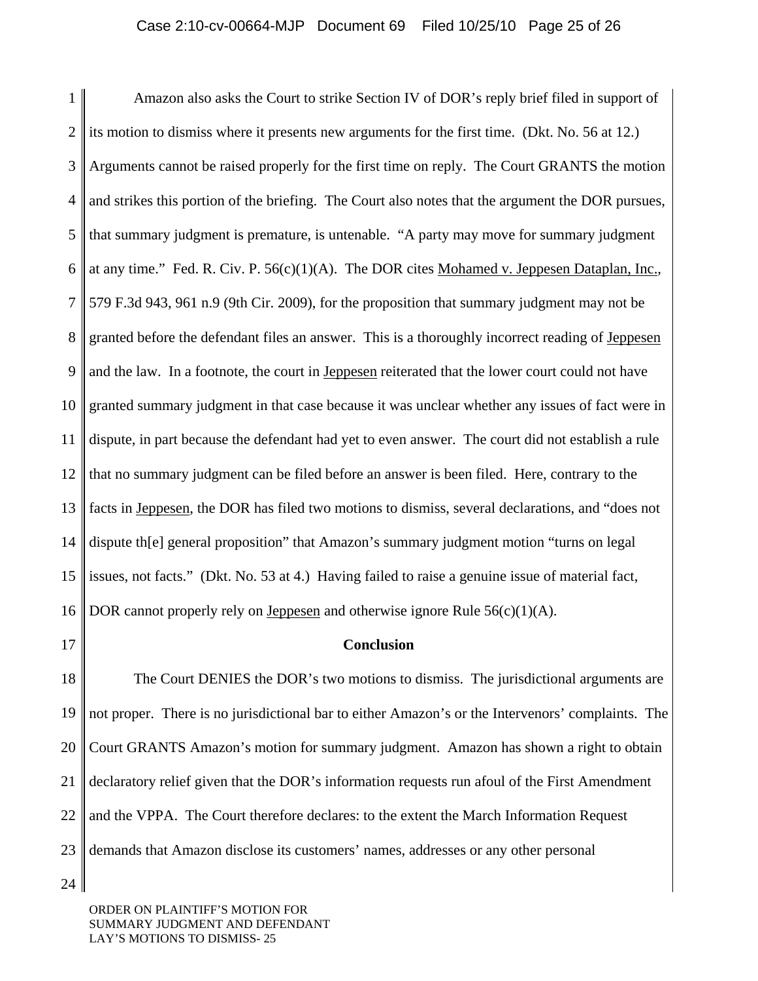1  $\mathcal{D}_{\mathcal{L}}$ 3 4 5 6 7 8 9 10 11 12 13 14 15 16 Amazon also asks the Court to strike Section IV of DOR's reply brief filed in support of its motion to dismiss where it presents new arguments for the first time. (Dkt. No. 56 at 12.) Arguments cannot be raised properly for the first time on reply. The Court GRANTS the motion and strikes this portion of the briefing. The Court also notes that the argument the DOR pursues, that summary judgment is premature, is untenable. "A party may move for summary judgment at any time." Fed. R. Civ. P.  $56(c)(1)(A)$ . The DOR cites Mohamed v. Jeppesen Dataplan, Inc., 579 F.3d 943, 961 n.9 (9th Cir. 2009), for the proposition that summary judgment may not be granted before the defendant files an answer. This is a thoroughly incorrect reading of Jeppesen and the law. In a footnote, the court in Jeppesen reiterated that the lower court could not have granted summary judgment in that case because it was unclear whether any issues of fact were in dispute, in part because the defendant had yet to even answer. The court did not establish a rule that no summary judgment can be filed before an answer is been filed. Here, contrary to the facts in Jeppesen, the DOR has filed two motions to dismiss, several declarations, and "does not dispute th[e] general proposition" that Amazon's summary judgment motion "turns on legal issues, not facts." (Dkt. No. 53 at 4.) Having failed to raise a genuine issue of material fact, DOR cannot properly rely on Jeppesen and otherwise ignore Rule 56(c)(1)(A).

17

#### **Conclusion**

18 19 20 21 22 23 The Court DENIES the DOR's two motions to dismiss. The jurisdictional arguments are not proper. There is no jurisdictional bar to either Amazon's or the Intervenors' complaints. The Court GRANTS Amazon's motion for summary judgment. Amazon has shown a right to obtain declaratory relief given that the DOR's information requests run afoul of the First Amendment and the VPPA. The Court therefore declares: to the extent the March Information Request demands that Amazon disclose its customers' names, addresses or any other personal

24